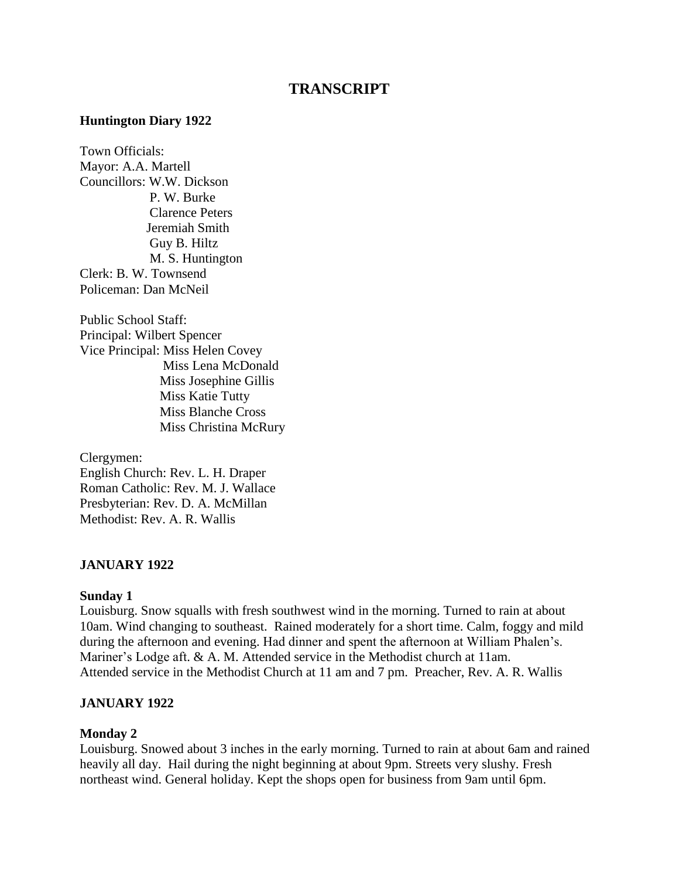# **TRANSCRIPT**

#### **Huntington Diary 1922**

Town Officials: Mayor: A.A. Martell Councillors: W.W. Dickson P. W. Burke Clarence Peters Jeremiah Smith Guy B. Hiltz M. S. Huntington Clerk: B. W. Townsend Policeman: Dan McNeil

Public School Staff: Principal: Wilbert Spencer Vice Principal: Miss Helen Covey Miss Lena McDonald Miss Josephine Gillis Miss Katie Tutty Miss Blanche Cross Miss Christina McRury

Clergymen: English Church: Rev. L. H. Draper Roman Catholic: Rev. M. J. Wallace Presbyterian: Rev. D. A. McMillan Methodist: Rev. A. R. Wallis

#### **JANUARY 1922**

#### **Sunday 1**

Louisburg. Snow squalls with fresh southwest wind in the morning. Turned to rain at about 10am. Wind changing to southeast. Rained moderately for a short time. Calm, foggy and mild during the afternoon and evening. Had dinner and spent the afternoon at William Phalen's. Mariner's Lodge aft. & A. M. Attended service in the Methodist church at 11am. Attended service in the Methodist Church at 11 am and 7 pm. Preacher, Rev. A. R. Wallis

#### **JANUARY 1922**

#### **Monday 2**

Louisburg. Snowed about 3 inches in the early morning. Turned to rain at about 6am and rained heavily all day. Hail during the night beginning at about 9pm. Streets very slushy. Fresh northeast wind. General holiday. Kept the shops open for business from 9am until 6pm.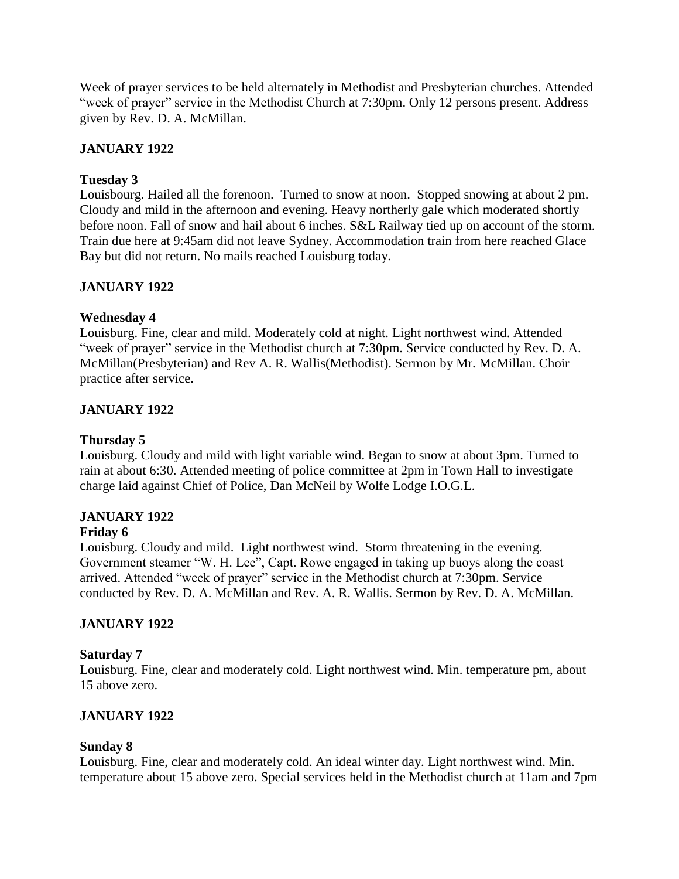Week of prayer services to be held alternately in Methodist and Presbyterian churches. Attended "week of prayer" service in the Methodist Church at 7:30pm. Only 12 persons present. Address given by Rev. D. A. McMillan.

# **JANUARY 1922**

# **Tuesday 3**

Louisbourg. Hailed all the forenoon. Turned to snow at noon. Stopped snowing at about 2 pm. Cloudy and mild in the afternoon and evening. Heavy northerly gale which moderated shortly before noon. Fall of snow and hail about 6 inches. S&L Railway tied up on account of the storm. Train due here at 9:45am did not leave Sydney. Accommodation train from here reached Glace Bay but did not return. No mails reached Louisburg today.

# **JANUARY 1922**

# **Wednesday 4**

Louisburg. Fine, clear and mild. Moderately cold at night. Light northwest wind. Attended "week of prayer" service in the Methodist church at 7:30pm. Service conducted by Rev. D. A. McMillan(Presbyterian) and Rev A. R. Wallis(Methodist). Sermon by Mr. McMillan. Choir practice after service.

# **JANUARY 1922**

# **Thursday 5**

Louisburg. Cloudy and mild with light variable wind. Began to snow at about 3pm. Turned to rain at about 6:30. Attended meeting of police committee at 2pm in Town Hall to investigate charge laid against Chief of Police, Dan McNeil by Wolfe Lodge I.O.G.L.

# **JANUARY 1922**

# **Friday 6**

Louisburg. Cloudy and mild. Light northwest wind. Storm threatening in the evening. Government steamer "W. H. Lee", Capt. Rowe engaged in taking up buoys along the coast arrived. Attended "week of prayer" service in the Methodist church at 7:30pm. Service conducted by Rev. D. A. McMillan and Rev. A. R. Wallis. Sermon by Rev. D. A. McMillan.

# **JANUARY 1922**

# **Saturday 7**

Louisburg. Fine, clear and moderately cold. Light northwest wind. Min. temperature pm, about 15 above zero.

# **JANUARY 1922**

# **Sunday 8**

Louisburg. Fine, clear and moderately cold. An ideal winter day. Light northwest wind. Min. temperature about 15 above zero. Special services held in the Methodist church at 11am and 7pm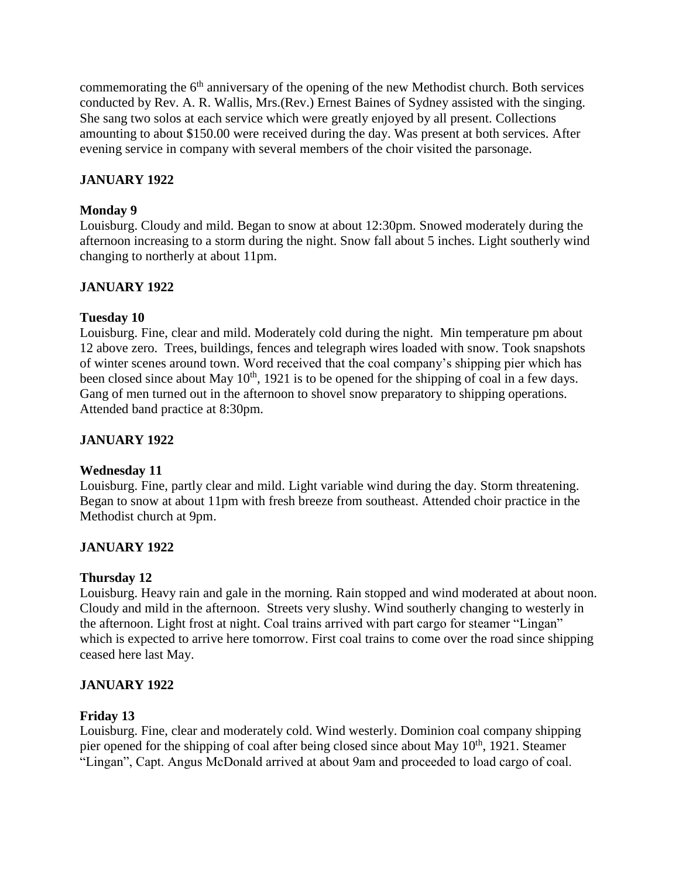commemorating the  $6<sup>th</sup>$  anniversary of the opening of the new Methodist church. Both services conducted by Rev. A. R. Wallis, Mrs.(Rev.) Ernest Baines of Sydney assisted with the singing. She sang two solos at each service which were greatly enjoyed by all present. Collections amounting to about \$150.00 were received during the day. Was present at both services. After evening service in company with several members of the choir visited the parsonage.

# **JANUARY 1922**

## **Monday 9**

Louisburg. Cloudy and mild. Began to snow at about 12:30pm. Snowed moderately during the afternoon increasing to a storm during the night. Snow fall about 5 inches. Light southerly wind changing to northerly at about 11pm.

# **JANUARY 1922**

### **Tuesday 10**

Louisburg. Fine, clear and mild. Moderately cold during the night. Min temperature pm about 12 above zero. Trees, buildings, fences and telegraph wires loaded with snow. Took snapshots of winter scenes around town. Word received that the coal company's shipping pier which has been closed since about May  $10<sup>th</sup>$ , 1921 is to be opened for the shipping of coal in a few days. Gang of men turned out in the afternoon to shovel snow preparatory to shipping operations. Attended band practice at 8:30pm.

# **JANUARY 1922**

# **Wednesday 11**

Louisburg. Fine, partly clear and mild. Light variable wind during the day. Storm threatening. Began to snow at about 11pm with fresh breeze from southeast. Attended choir practice in the Methodist church at 9pm.

# **JANUARY 1922**

# **Thursday 12**

Louisburg. Heavy rain and gale in the morning. Rain stopped and wind moderated at about noon. Cloudy and mild in the afternoon. Streets very slushy. Wind southerly changing to westerly in the afternoon. Light frost at night. Coal trains arrived with part cargo for steamer "Lingan" which is expected to arrive here tomorrow. First coal trains to come over the road since shipping ceased here last May.

# **JANUARY 1922**

# **Friday 13**

Louisburg. Fine, clear and moderately cold. Wind westerly. Dominion coal company shipping pier opened for the shipping of coal after being closed since about May 10<sup>th</sup>, 1921. Steamer "Lingan", Capt. Angus McDonald arrived at about 9am and proceeded to load cargo of coal.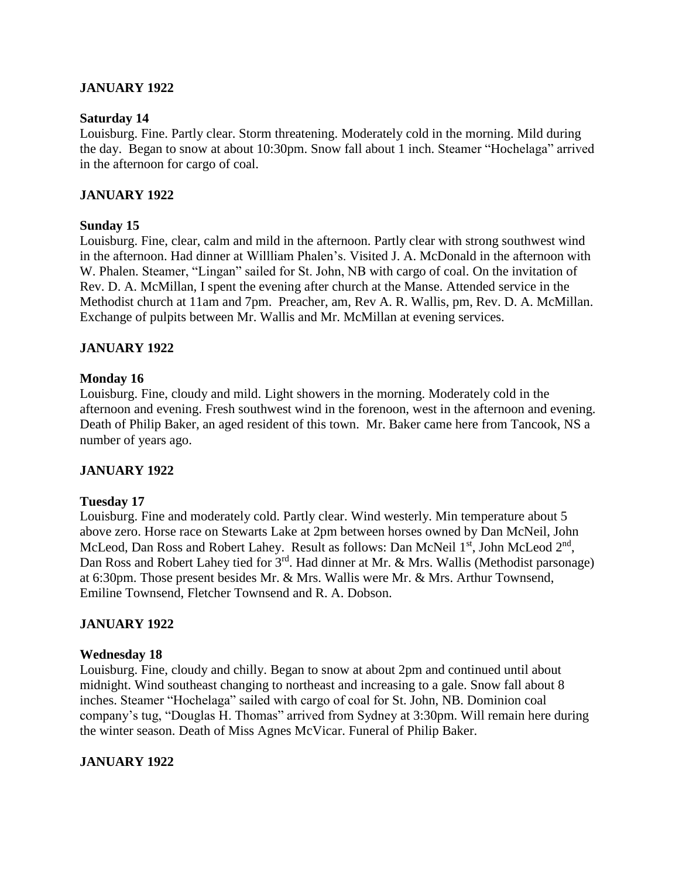### **JANUARY 1922**

#### **Saturday 14**

Louisburg. Fine. Partly clear. Storm threatening. Moderately cold in the morning. Mild during the day. Began to snow at about 10:30pm. Snow fall about 1 inch. Steamer "Hochelaga" arrived in the afternoon for cargo of coal.

### **JANUARY 1922**

### **Sunday 15**

Louisburg. Fine, clear, calm and mild in the afternoon. Partly clear with strong southwest wind in the afternoon. Had dinner at Willliam Phalen's. Visited J. A. McDonald in the afternoon with W. Phalen. Steamer, "Lingan" sailed for St. John, NB with cargo of coal. On the invitation of Rev. D. A. McMillan, I spent the evening after church at the Manse. Attended service in the Methodist church at 11am and 7pm. Preacher, am, Rev A. R. Wallis, pm, Rev. D. A. McMillan. Exchange of pulpits between Mr. Wallis and Mr. McMillan at evening services.

### **JANUARY 1922**

### **Monday 16**

Louisburg. Fine, cloudy and mild. Light showers in the morning. Moderately cold in the afternoon and evening. Fresh southwest wind in the forenoon, west in the afternoon and evening. Death of Philip Baker, an aged resident of this town. Mr. Baker came here from Tancook, NS a number of years ago.

### **JANUARY 1922**

### **Tuesday 17**

Louisburg. Fine and moderately cold. Partly clear. Wind westerly. Min temperature about 5 above zero. Horse race on Stewarts Lake at 2pm between horses owned by Dan McNeil, John McLeod, Dan Ross and Robert Lahey. Result as follows: Dan McNeil 1<sup>st</sup>, John McLeod 2<sup>nd</sup>, Dan Ross and Robert Lahey tied for 3<sup>rd</sup>. Had dinner at Mr. & Mrs. Wallis (Methodist parsonage) at 6:30pm. Those present besides Mr. & Mrs. Wallis were Mr. & Mrs. Arthur Townsend, Emiline Townsend, Fletcher Townsend and R. A. Dobson.

### **JANUARY 1922**

### **Wednesday 18**

Louisburg. Fine, cloudy and chilly. Began to snow at about 2pm and continued until about midnight. Wind southeast changing to northeast and increasing to a gale. Snow fall about 8 inches. Steamer "Hochelaga" sailed with cargo of coal for St. John, NB. Dominion coal company's tug, "Douglas H. Thomas" arrived from Sydney at 3:30pm. Will remain here during the winter season. Death of Miss Agnes McVicar. Funeral of Philip Baker.

### **JANUARY 1922**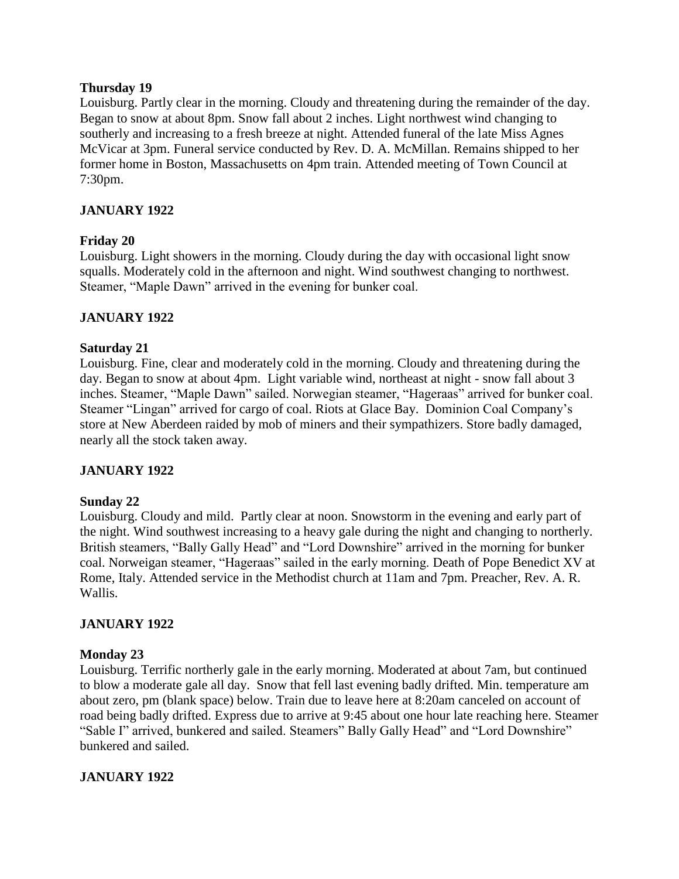### **Thursday 19**

Louisburg. Partly clear in the morning. Cloudy and threatening during the remainder of the day. Began to snow at about 8pm. Snow fall about 2 inches. Light northwest wind changing to southerly and increasing to a fresh breeze at night. Attended funeral of the late Miss Agnes McVicar at 3pm. Funeral service conducted by Rev. D. A. McMillan. Remains shipped to her former home in Boston, Massachusetts on 4pm train. Attended meeting of Town Council at 7:30pm.

# **JANUARY 1922**

# **Friday 20**

Louisburg. Light showers in the morning. Cloudy during the day with occasional light snow squalls. Moderately cold in the afternoon and night. Wind southwest changing to northwest. Steamer, "Maple Dawn" arrived in the evening for bunker coal.

# **JANUARY 1922**

# **Saturday 21**

Louisburg. Fine, clear and moderately cold in the morning. Cloudy and threatening during the day. Began to snow at about 4pm. Light variable wind, northeast at night - snow fall about 3 inches. Steamer, "Maple Dawn" sailed. Norwegian steamer, "Hageraas" arrived for bunker coal. Steamer "Lingan" arrived for cargo of coal. Riots at Glace Bay. Dominion Coal Company's store at New Aberdeen raided by mob of miners and their sympathizers. Store badly damaged, nearly all the stock taken away.

# **JANUARY 1922**

# **Sunday 22**

Louisburg. Cloudy and mild. Partly clear at noon. Snowstorm in the evening and early part of the night. Wind southwest increasing to a heavy gale during the night and changing to northerly. British steamers, "Bally Gally Head" and "Lord Downshire" arrived in the morning for bunker coal. Norweigan steamer, "Hageraas" sailed in the early morning. Death of Pope Benedict XV at Rome, Italy. Attended service in the Methodist church at 11am and 7pm. Preacher, Rev. A. R. Wallis.

# **JANUARY 1922**

# **Monday 23**

Louisburg. Terrific northerly gale in the early morning. Moderated at about 7am, but continued to blow a moderate gale all day. Snow that fell last evening badly drifted. Min. temperature am about zero, pm (blank space) below. Train due to leave here at 8:20am canceled on account of road being badly drifted. Express due to arrive at 9:45 about one hour late reaching here. Steamer "Sable I" arrived, bunkered and sailed. Steamers" Bally Gally Head" and "Lord Downshire" bunkered and sailed.

# **JANUARY 1922**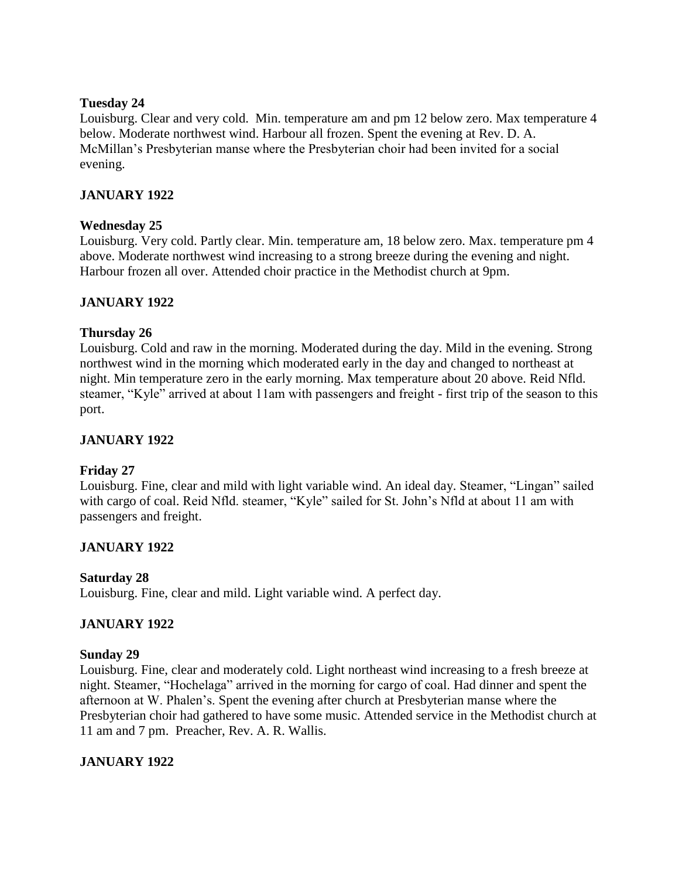### **Tuesday 24**

Louisburg. Clear and very cold. Min. temperature am and pm 12 below zero. Max temperature 4 below. Moderate northwest wind. Harbour all frozen. Spent the evening at Rev. D. A. McMillan's Presbyterian manse where the Presbyterian choir had been invited for a social evening.

# **JANUARY 1922**

### **Wednesday 25**

Louisburg. Very cold. Partly clear. Min. temperature am, 18 below zero. Max. temperature pm 4 above. Moderate northwest wind increasing to a strong breeze during the evening and night. Harbour frozen all over. Attended choir practice in the Methodist church at 9pm.

# **JANUARY 1922**

# **Thursday 26**

Louisburg. Cold and raw in the morning. Moderated during the day. Mild in the evening. Strong northwest wind in the morning which moderated early in the day and changed to northeast at night. Min temperature zero in the early morning. Max temperature about 20 above. Reid Nfld. steamer, "Kyle" arrived at about 11am with passengers and freight - first trip of the season to this port.

# **JANUARY 1922**

# **Friday 27**

Louisburg. Fine, clear and mild with light variable wind. An ideal day. Steamer, "Lingan" sailed with cargo of coal. Reid Nfld. steamer, "Kyle" sailed for St. John's Nfld at about 11 am with passengers and freight.

# **JANUARY 1922**

### **Saturday 28**

Louisburg. Fine, clear and mild. Light variable wind. A perfect day.

# **JANUARY 1922**

### **Sunday 29**

Louisburg. Fine, clear and moderately cold. Light northeast wind increasing to a fresh breeze at night. Steamer, "Hochelaga" arrived in the morning for cargo of coal. Had dinner and spent the afternoon at W. Phalen's. Spent the evening after church at Presbyterian manse where the Presbyterian choir had gathered to have some music. Attended service in the Methodist church at 11 am and 7 pm. Preacher, Rev. A. R. Wallis.

# **JANUARY 1922**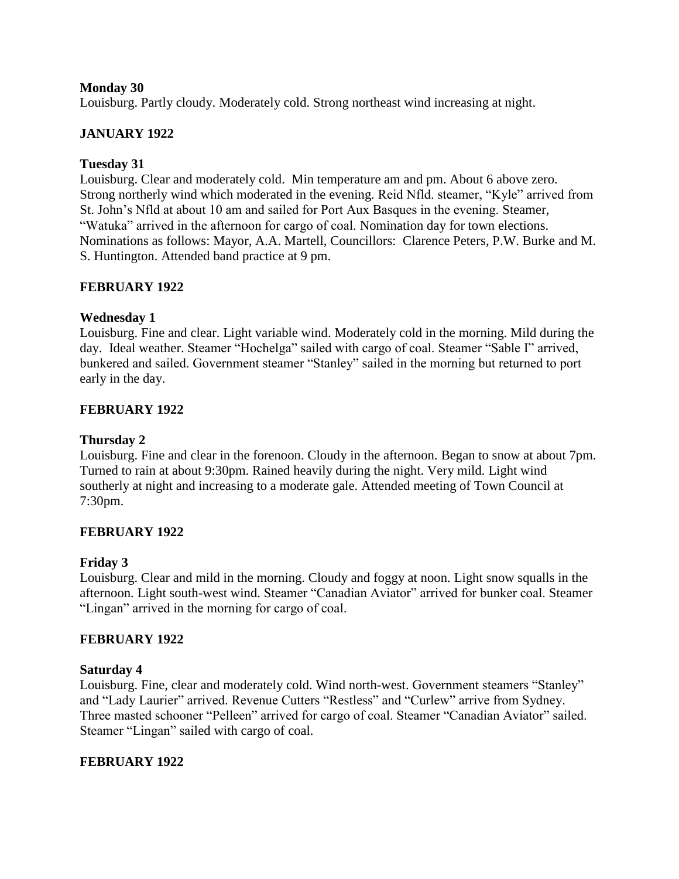### **Monday 30**

Louisburg. Partly cloudy. Moderately cold. Strong northeast wind increasing at night.

### **JANUARY 1922**

### **Tuesday 31**

Louisburg. Clear and moderately cold. Min temperature am and pm. About 6 above zero. Strong northerly wind which moderated in the evening. Reid Nfld. steamer, "Kyle" arrived from St. John's Nfld at about 10 am and sailed for Port Aux Basques in the evening. Steamer, "Watuka" arrived in the afternoon for cargo of coal. Nomination day for town elections. Nominations as follows: Mayor, A.A. Martell, Councillors: Clarence Peters, P.W. Burke and M. S. Huntington. Attended band practice at 9 pm.

### **FEBRUARY 1922**

### **Wednesday 1**

Louisburg. Fine and clear. Light variable wind. Moderately cold in the morning. Mild during the day. Ideal weather. Steamer "Hochelga" sailed with cargo of coal. Steamer "Sable I" arrived, bunkered and sailed. Government steamer "Stanley" sailed in the morning but returned to port early in the day.

# **FEBRUARY 1922**

### **Thursday 2**

Louisburg. Fine and clear in the forenoon. Cloudy in the afternoon. Began to snow at about 7pm. Turned to rain at about 9:30pm. Rained heavily during the night. Very mild. Light wind southerly at night and increasing to a moderate gale. Attended meeting of Town Council at 7:30pm.

### **FEBRUARY 1922**

### **Friday 3**

Louisburg. Clear and mild in the morning. Cloudy and foggy at noon. Light snow squalls in the afternoon. Light south-west wind. Steamer "Canadian Aviator" arrived for bunker coal. Steamer "Lingan" arrived in the morning for cargo of coal.

### **FEBRUARY 1922**

#### **Saturday 4**

Louisburg. Fine, clear and moderately cold. Wind north-west. Government steamers "Stanley" and "Lady Laurier" arrived. Revenue Cutters "Restless" and "Curlew" arrive from Sydney. Three masted schooner "Pelleen" arrived for cargo of coal. Steamer "Canadian Aviator" sailed. Steamer "Lingan" sailed with cargo of coal.

### **FEBRUARY 1922**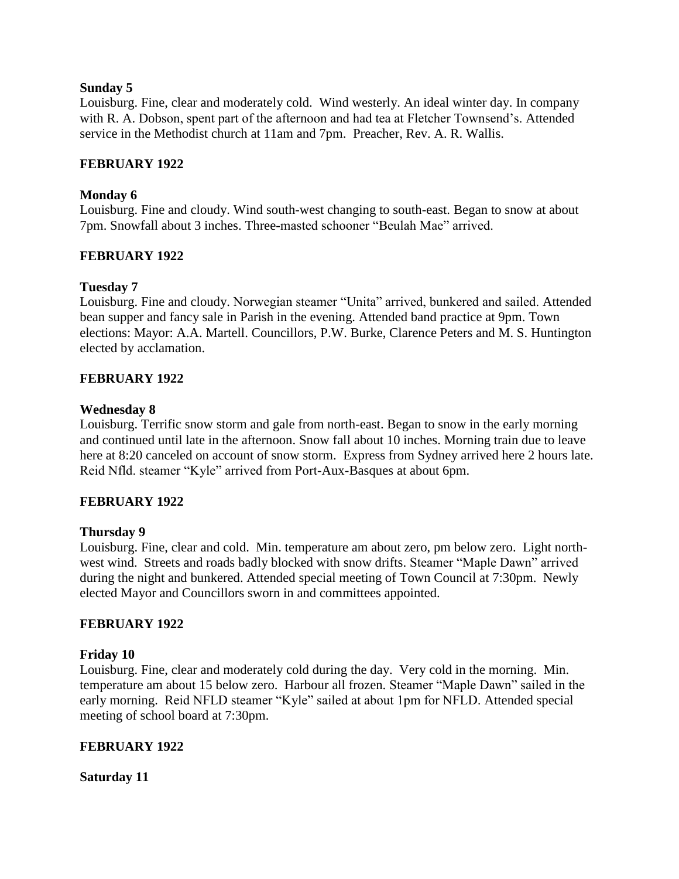### **Sunday 5**

Louisburg. Fine, clear and moderately cold. Wind westerly. An ideal winter day. In company with R. A. Dobson, spent part of the afternoon and had tea at Fletcher Townsend's. Attended service in the Methodist church at 11am and 7pm. Preacher, Rev. A. R. Wallis.

### **FEBRUARY 1922**

## **Monday 6**

Louisburg. Fine and cloudy. Wind south-west changing to south-east. Began to snow at about 7pm. Snowfall about 3 inches. Three-masted schooner "Beulah Mae" arrived.

# **FEBRUARY 1922**

### **Tuesday 7**

Louisburg. Fine and cloudy. Norwegian steamer "Unita" arrived, bunkered and sailed. Attended bean supper and fancy sale in Parish in the evening. Attended band practice at 9pm. Town elections: Mayor: A.A. Martell. Councillors, P.W. Burke, Clarence Peters and M. S. Huntington elected by acclamation.

### **FEBRUARY 1922**

### **Wednesday 8**

Louisburg. Terrific snow storm and gale from north-east. Began to snow in the early morning and continued until late in the afternoon. Snow fall about 10 inches. Morning train due to leave here at 8:20 canceled on account of snow storm. Express from Sydney arrived here 2 hours late. Reid Nfld. steamer "Kyle" arrived from Port-Aux-Basques at about 6pm.

### **FEBRUARY 1922**

### **Thursday 9**

Louisburg. Fine, clear and cold. Min. temperature am about zero, pm below zero. Light northwest wind. Streets and roads badly blocked with snow drifts. Steamer "Maple Dawn" arrived during the night and bunkered. Attended special meeting of Town Council at 7:30pm. Newly elected Mayor and Councillors sworn in and committees appointed.

### **FEBRUARY 1922**

### **Friday 10**

Louisburg. Fine, clear and moderately cold during the day. Very cold in the morning. Min. temperature am about 15 below zero. Harbour all frozen. Steamer "Maple Dawn" sailed in the early morning. Reid NFLD steamer "Kyle" sailed at about 1pm for NFLD. Attended special meeting of school board at 7:30pm.

### **FEBRUARY 1922**

**Saturday 11**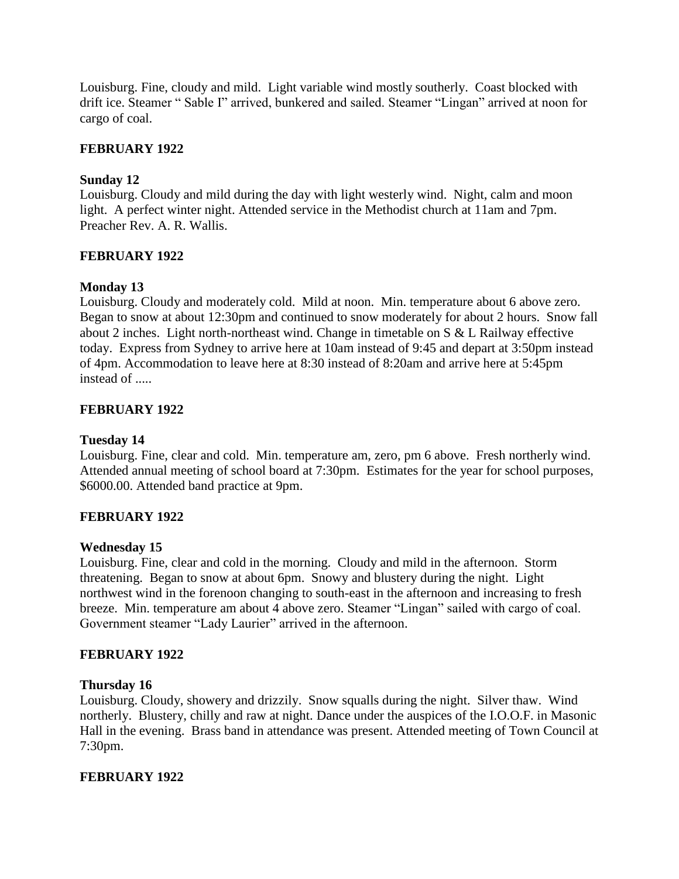Louisburg. Fine, cloudy and mild. Light variable wind mostly southerly. Coast blocked with drift ice. Steamer " Sable I" arrived, bunkered and sailed. Steamer "Lingan" arrived at noon for cargo of coal.

### **FEBRUARY 1922**

### **Sunday 12**

Louisburg. Cloudy and mild during the day with light westerly wind. Night, calm and moon light. A perfect winter night. Attended service in the Methodist church at 11am and 7pm. Preacher Rev. A. R. Wallis.

### **FEBRUARY 1922**

### **Monday 13**

Louisburg. Cloudy and moderately cold. Mild at noon. Min. temperature about 6 above zero. Began to snow at about 12:30pm and continued to snow moderately for about 2 hours. Snow fall about 2 inches. Light north-northeast wind. Change in timetable on S & L Railway effective today. Express from Sydney to arrive here at 10am instead of 9:45 and depart at 3:50pm instead of 4pm. Accommodation to leave here at 8:30 instead of 8:20am and arrive here at 5:45pm instead of .....

### **FEBRUARY 1922**

### **Tuesday 14**

Louisburg. Fine, clear and cold. Min. temperature am, zero, pm 6 above. Fresh northerly wind. Attended annual meeting of school board at 7:30pm. Estimates for the year for school purposes, \$6000.00. Attended band practice at 9pm.

### **FEBRUARY 1922**

### **Wednesday 15**

Louisburg. Fine, clear and cold in the morning. Cloudy and mild in the afternoon. Storm threatening. Began to snow at about 6pm. Snowy and blustery during the night. Light northwest wind in the forenoon changing to south-east in the afternoon and increasing to fresh breeze. Min. temperature am about 4 above zero. Steamer "Lingan" sailed with cargo of coal. Government steamer "Lady Laurier" arrived in the afternoon.

### **FEBRUARY 1922**

### **Thursday 16**

Louisburg. Cloudy, showery and drizzily. Snow squalls during the night. Silver thaw. Wind northerly. Blustery, chilly and raw at night. Dance under the auspices of the I.O.O.F. in Masonic Hall in the evening. Brass band in attendance was present. Attended meeting of Town Council at 7:30pm.

### **FEBRUARY 1922**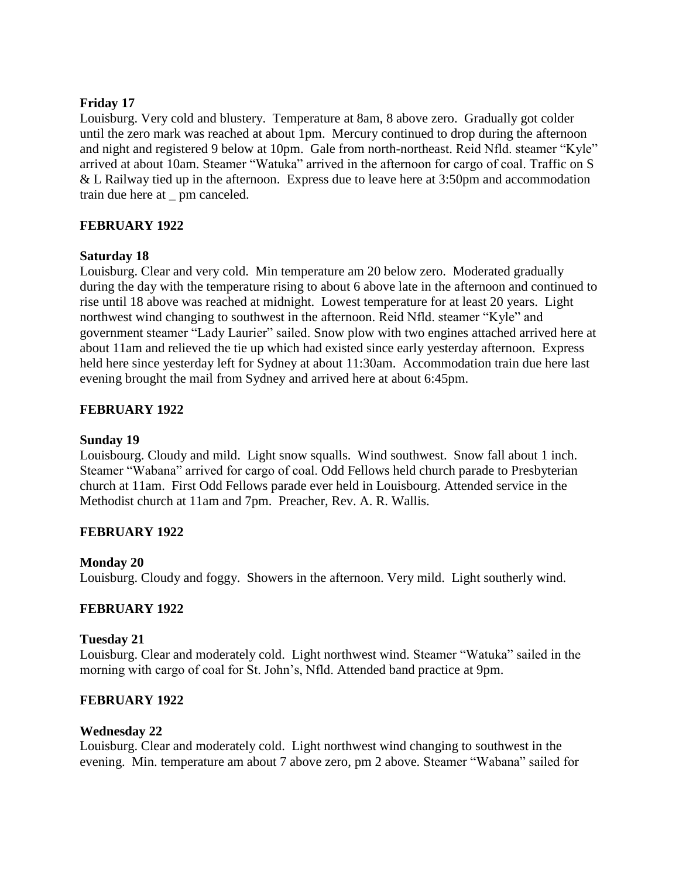### **Friday 17**

Louisburg. Very cold and blustery. Temperature at 8am, 8 above zero. Gradually got colder until the zero mark was reached at about 1pm. Mercury continued to drop during the afternoon and night and registered 9 below at 10pm. Gale from north-northeast. Reid Nfld. steamer "Kyle" arrived at about 10am. Steamer "Watuka" arrived in the afternoon for cargo of coal. Traffic on S & L Railway tied up in the afternoon. Express due to leave here at 3:50pm and accommodation train due here at \_ pm canceled.

### **FEBRUARY 1922**

### **Saturday 18**

Louisburg. Clear and very cold. Min temperature am 20 below zero. Moderated gradually during the day with the temperature rising to about 6 above late in the afternoon and continued to rise until 18 above was reached at midnight. Lowest temperature for at least 20 years. Light northwest wind changing to southwest in the afternoon. Reid Nfld. steamer "Kyle" and government steamer "Lady Laurier" sailed. Snow plow with two engines attached arrived here at about 11am and relieved the tie up which had existed since early yesterday afternoon. Express held here since yesterday left for Sydney at about 11:30am. Accommodation train due here last evening brought the mail from Sydney and arrived here at about 6:45pm.

# **FEBRUARY 1922**

### **Sunday 19**

Louisbourg. Cloudy and mild. Light snow squalls. Wind southwest. Snow fall about 1 inch. Steamer "Wabana" arrived for cargo of coal. Odd Fellows held church parade to Presbyterian church at 11am. First Odd Fellows parade ever held in Louisbourg. Attended service in the Methodist church at 11am and 7pm. Preacher, Rev. A. R. Wallis.

# **FEBRUARY 1922**

### **Monday 20**

Louisburg. Cloudy and foggy. Showers in the afternoon. Very mild. Light southerly wind.

### **FEBRUARY 1922**

### **Tuesday 21**

Louisburg. Clear and moderately cold. Light northwest wind. Steamer "Watuka" sailed in the morning with cargo of coal for St. John's, Nfld. Attended band practice at 9pm.

### **FEBRUARY 1922**

### **Wednesday 22**

Louisburg. Clear and moderately cold. Light northwest wind changing to southwest in the evening. Min. temperature am about 7 above zero, pm 2 above. Steamer "Wabana" sailed for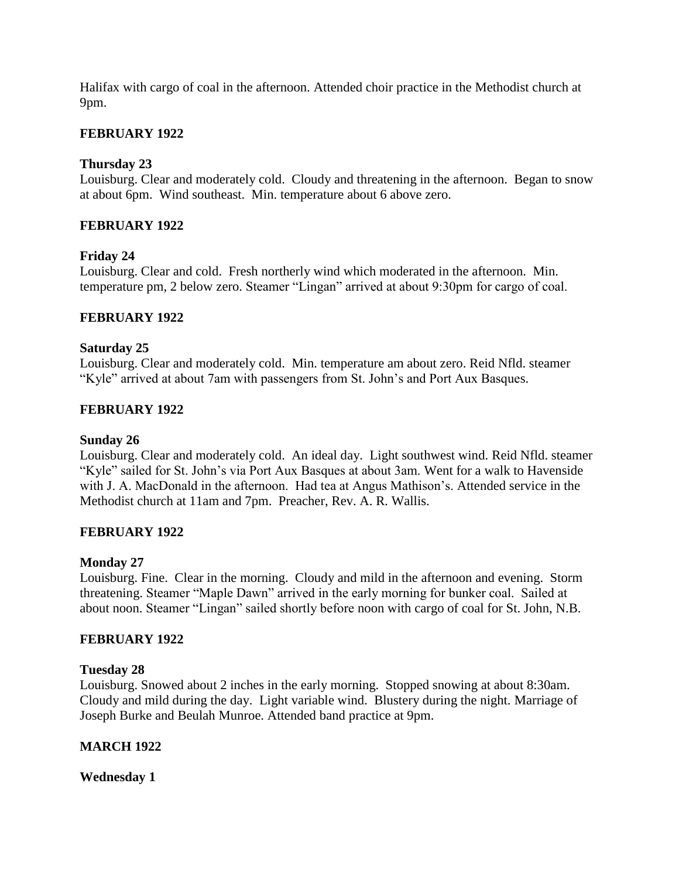Halifax with cargo of coal in the afternoon. Attended choir practice in the Methodist church at 9pm.

### **FEBRUARY 1922**

### **Thursday 23**

Louisburg. Clear and moderately cold. Cloudy and threatening in the afternoon. Began to snow at about 6pm. Wind southeast. Min. temperature about 6 above zero.

### **FEBRUARY 1922**

### **Friday 24**

Louisburg. Clear and cold. Fresh northerly wind which moderated in the afternoon. Min. temperature pm, 2 below zero. Steamer "Lingan" arrived at about 9:30pm for cargo of coal.

### **FEBRUARY 1922**

### **Saturday 25**

Louisburg. Clear and moderately cold. Min. temperature am about zero. Reid Nfld. steamer "Kyle" arrived at about 7am with passengers from St. John's and Port Aux Basques.

### **FEBRUARY 1922**

### **Sunday 26**

Louisburg. Clear and moderately cold. An ideal day. Light southwest wind. Reid Nfld. steamer "Kyle" sailed for St. John's via Port Aux Basques at about 3am. Went for a walk to Havenside with J. A. MacDonald in the afternoon. Had tea at Angus Mathison's. Attended service in the Methodist church at 11am and 7pm. Preacher, Rev. A. R. Wallis.

### **FEBRUARY 1922**

### **Monday 27**

Louisburg. Fine. Clear in the morning. Cloudy and mild in the afternoon and evening. Storm threatening. Steamer "Maple Dawn" arrived in the early morning for bunker coal. Sailed at about noon. Steamer "Lingan" sailed shortly before noon with cargo of coal for St. John, N.B.

### **FEBRUARY 1922**

### **Tuesday 28**

Louisburg. Snowed about 2 inches in the early morning. Stopped snowing at about 8:30am. Cloudy and mild during the day. Light variable wind. Blustery during the night. Marriage of Joseph Burke and Beulah Munroe. Attended band practice at 9pm.

### **MARCH 1922**

### **Wednesday 1**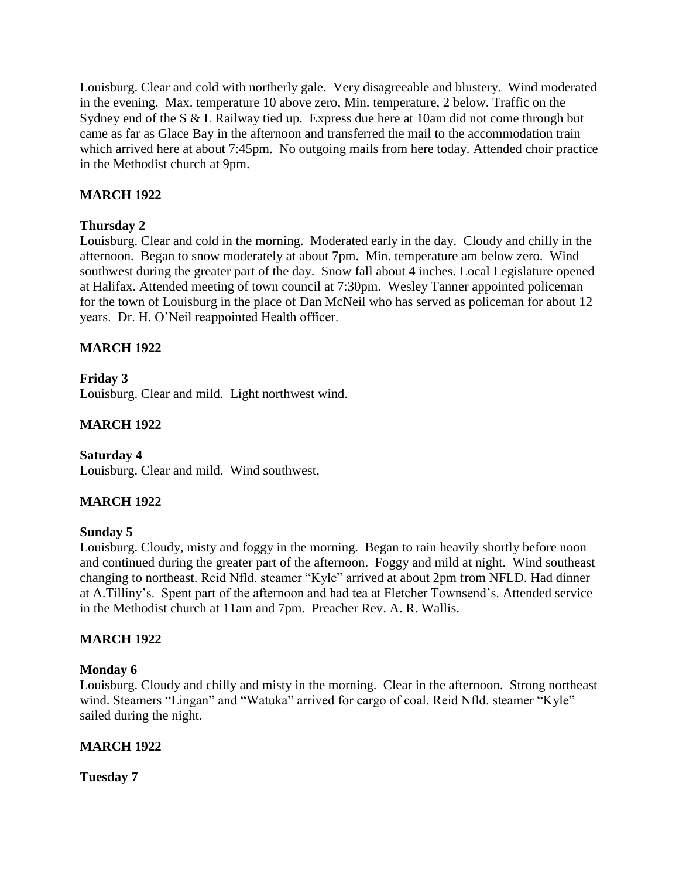Louisburg. Clear and cold with northerly gale. Very disagreeable and blustery. Wind moderated in the evening. Max. temperature 10 above zero, Min. temperature, 2 below. Traffic on the Sydney end of the S & L Railway tied up. Express due here at 10am did not come through but came as far as Glace Bay in the afternoon and transferred the mail to the accommodation train which arrived here at about 7:45pm. No outgoing mails from here today. Attended choir practice in the Methodist church at 9pm.

# **MARCH 1922**

# **Thursday 2**

Louisburg. Clear and cold in the morning. Moderated early in the day. Cloudy and chilly in the afternoon. Began to snow moderately at about 7pm. Min. temperature am below zero. Wind southwest during the greater part of the day. Snow fall about 4 inches. Local Legislature opened at Halifax. Attended meeting of town council at 7:30pm. Wesley Tanner appointed policeman for the town of Louisburg in the place of Dan McNeil who has served as policeman for about 12 years. Dr. H. O'Neil reappointed Health officer.

# **MARCH 1922**

# **Friday 3**

Louisburg. Clear and mild. Light northwest wind.

# **MARCH 1922**

# **Saturday 4**

Louisburg. Clear and mild. Wind southwest.

# **MARCH 1922**

# **Sunday 5**

Louisburg. Cloudy, misty and foggy in the morning. Began to rain heavily shortly before noon and continued during the greater part of the afternoon. Foggy and mild at night. Wind southeast changing to northeast. Reid Nfld. steamer "Kyle" arrived at about 2pm from NFLD. Had dinner at A.Tilliny's. Spent part of the afternoon and had tea at Fletcher Townsend's. Attended service in the Methodist church at 11am and 7pm. Preacher Rev. A. R. Wallis.

# **MARCH 1922**

### **Monday 6**

Louisburg. Cloudy and chilly and misty in the morning. Clear in the afternoon. Strong northeast wind. Steamers "Lingan" and "Watuka" arrived for cargo of coal. Reid Nfld. steamer "Kyle" sailed during the night.

# **MARCH 1922**

**Tuesday 7**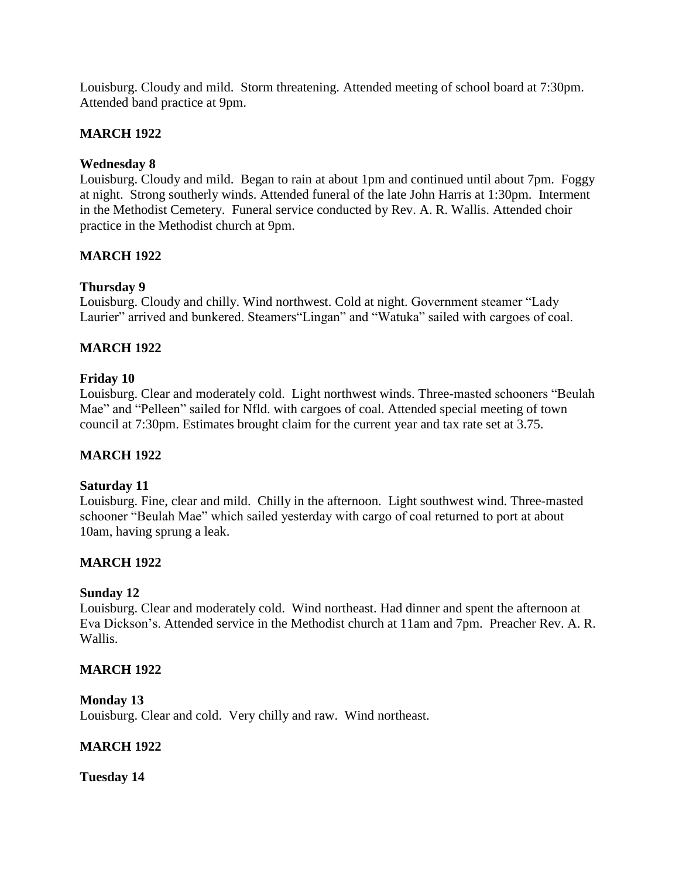Louisburg. Cloudy and mild. Storm threatening. Attended meeting of school board at 7:30pm. Attended band practice at 9pm.

### **MARCH 1922**

### **Wednesday 8**

Louisburg. Cloudy and mild. Began to rain at about 1pm and continued until about 7pm. Foggy at night. Strong southerly winds. Attended funeral of the late John Harris at 1:30pm. Interment in the Methodist Cemetery. Funeral service conducted by Rev. A. R. Wallis. Attended choir practice in the Methodist church at 9pm.

### **MARCH 1922**

### **Thursday 9**

Louisburg. Cloudy and chilly. Wind northwest. Cold at night. Government steamer "Lady Laurier" arrived and bunkered. Steamers"Lingan" and "Watuka" sailed with cargoes of coal.

### **MARCH 1922**

### **Friday 10**

Louisburg. Clear and moderately cold. Light northwest winds. Three-masted schooners "Beulah Mae" and "Pelleen" sailed for Nfld. with cargoes of coal. Attended special meeting of town council at 7:30pm. Estimates brought claim for the current year and tax rate set at 3.75.

### **MARCH 1922**

#### **Saturday 11**

Louisburg. Fine, clear and mild. Chilly in the afternoon. Light southwest wind. Three-masted schooner "Beulah Mae" which sailed yesterday with cargo of coal returned to port at about 10am, having sprung a leak.

### **MARCH 1922**

### **Sunday 12**

Louisburg. Clear and moderately cold. Wind northeast. Had dinner and spent the afternoon at Eva Dickson's. Attended service in the Methodist church at 11am and 7pm. Preacher Rev. A. R. Wallis.

### **MARCH 1922**

#### **Monday 13**

Louisburg. Clear and cold. Very chilly and raw. Wind northeast.

### **MARCH 1922**

**Tuesday 14**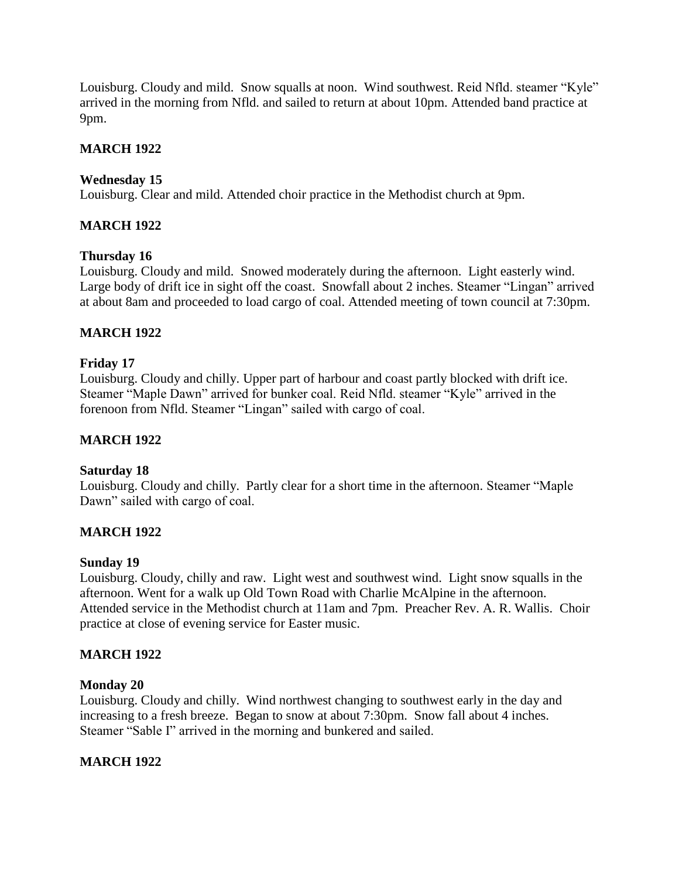Louisburg. Cloudy and mild. Snow squalls at noon. Wind southwest. Reid Nfld. steamer "Kyle" arrived in the morning from Nfld. and sailed to return at about 10pm. Attended band practice at 9pm.

# **MARCH 1922**

# **Wednesday 15**

Louisburg. Clear and mild. Attended choir practice in the Methodist church at 9pm.

# **MARCH 1922**

# **Thursday 16**

Louisburg. Cloudy and mild. Snowed moderately during the afternoon. Light easterly wind. Large body of drift ice in sight off the coast. Snowfall about 2 inches. Steamer "Lingan" arrived at about 8am and proceeded to load cargo of coal. Attended meeting of town council at 7:30pm.

# **MARCH 1922**

### **Friday 17**

Louisburg. Cloudy and chilly. Upper part of harbour and coast partly blocked with drift ice. Steamer "Maple Dawn" arrived for bunker coal. Reid Nfld. steamer "Kyle" arrived in the forenoon from Nfld. Steamer "Lingan" sailed with cargo of coal.

# **MARCH 1922**

### **Saturday 18**

Louisburg. Cloudy and chilly. Partly clear for a short time in the afternoon. Steamer "Maple Dawn" sailed with cargo of coal.

# **MARCH 1922**

### **Sunday 19**

Louisburg. Cloudy, chilly and raw. Light west and southwest wind. Light snow squalls in the afternoon. Went for a walk up Old Town Road with Charlie McAlpine in the afternoon. Attended service in the Methodist church at 11am and 7pm. Preacher Rev. A. R. Wallis. Choir practice at close of evening service for Easter music.

# **MARCH 1922**

### **Monday 20**

Louisburg. Cloudy and chilly. Wind northwest changing to southwest early in the day and increasing to a fresh breeze. Began to snow at about 7:30pm. Snow fall about 4 inches. Steamer "Sable I" arrived in the morning and bunkered and sailed.

# **MARCH 1922**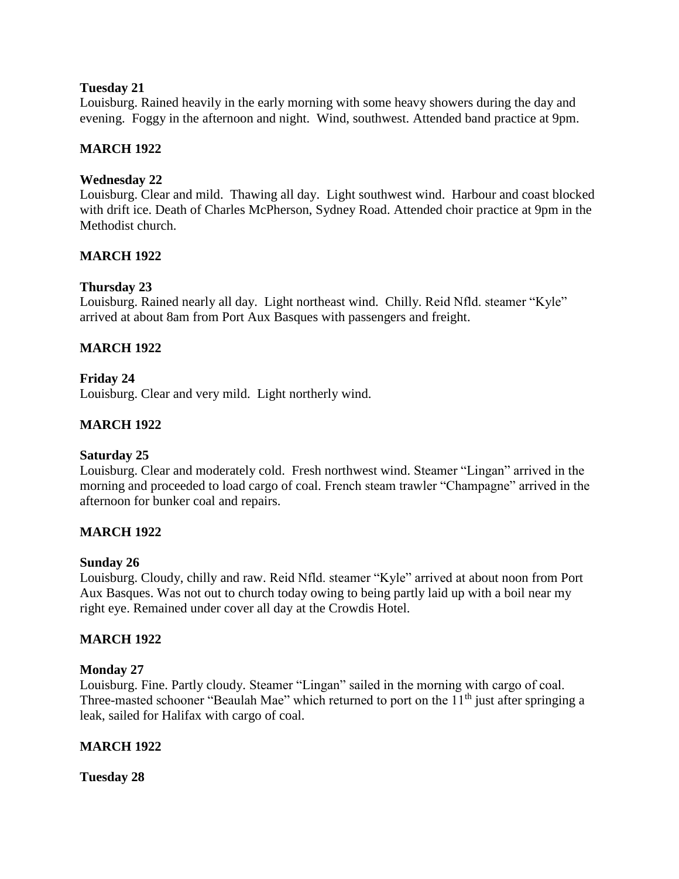### **Tuesday 21**

Louisburg. Rained heavily in the early morning with some heavy showers during the day and evening. Foggy in the afternoon and night. Wind, southwest. Attended band practice at 9pm.

## **MARCH 1922**

### **Wednesday 22**

Louisburg. Clear and mild. Thawing all day. Light southwest wind. Harbour and coast blocked with drift ice. Death of Charles McPherson, Sydney Road. Attended choir practice at 9pm in the Methodist church.

### **MARCH 1922**

### **Thursday 23**

Louisburg. Rained nearly all day. Light northeast wind. Chilly. Reid Nfld. steamer "Kyle" arrived at about 8am from Port Aux Basques with passengers and freight.

### **MARCH 1922**

### **Friday 24**

Louisburg. Clear and very mild. Light northerly wind.

### **MARCH 1922**

### **Saturday 25**

Louisburg. Clear and moderately cold. Fresh northwest wind. Steamer "Lingan" arrived in the morning and proceeded to load cargo of coal. French steam trawler "Champagne" arrived in the afternoon for bunker coal and repairs.

### **MARCH 1922**

### **Sunday 26**

Louisburg. Cloudy, chilly and raw. Reid Nfld. steamer "Kyle" arrived at about noon from Port Aux Basques. Was not out to church today owing to being partly laid up with a boil near my right eye. Remained under cover all day at the Crowdis Hotel.

### **MARCH 1922**

#### **Monday 27**

Louisburg. Fine. Partly cloudy. Steamer "Lingan" sailed in the morning with cargo of coal. Three-masted schooner "Beaulah Mae" which returned to port on the  $11<sup>th</sup>$  just after springing a leak, sailed for Halifax with cargo of coal.

### **MARCH 1922**

**Tuesday 28**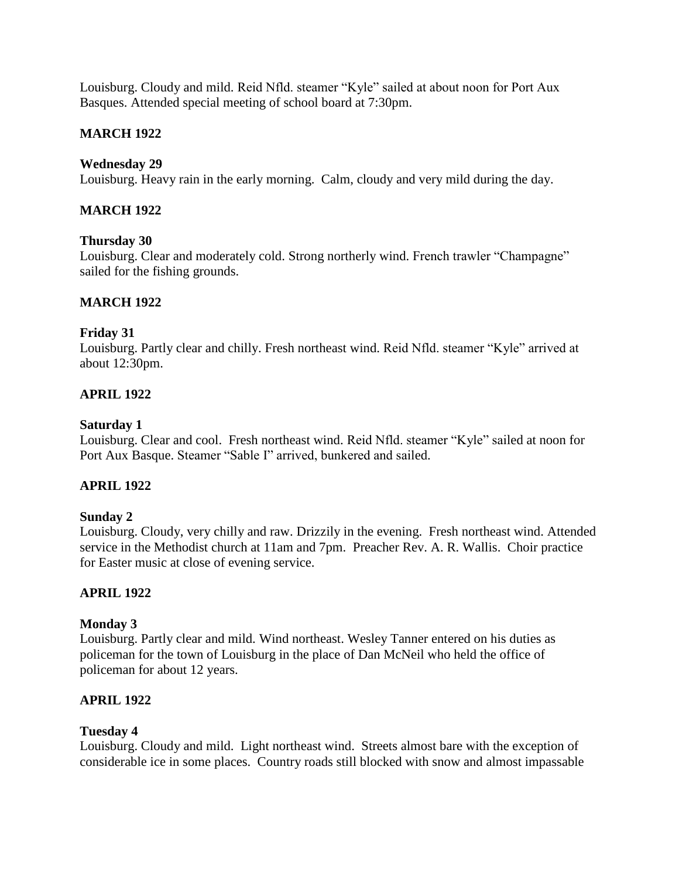Louisburg. Cloudy and mild. Reid Nfld. steamer "Kyle" sailed at about noon for Port Aux Basques. Attended special meeting of school board at 7:30pm.

## **MARCH 1922**

### **Wednesday 29**

Louisburg. Heavy rain in the early morning. Calm, cloudy and very mild during the day.

## **MARCH 1922**

### **Thursday 30**

Louisburg. Clear and moderately cold. Strong northerly wind. French trawler "Champagne" sailed for the fishing grounds.

### **MARCH 1922**

#### **Friday 31**

Louisburg. Partly clear and chilly. Fresh northeast wind. Reid Nfld. steamer "Kyle" arrived at about 12:30pm.

### **APRIL 1922**

#### **Saturday 1**

Louisburg. Clear and cool. Fresh northeast wind. Reid Nfld. steamer "Kyle" sailed at noon for Port Aux Basque. Steamer "Sable I" arrived, bunkered and sailed.

### **APRIL 1922**

#### **Sunday 2**

Louisburg. Cloudy, very chilly and raw. Drizzily in the evening. Fresh northeast wind. Attended service in the Methodist church at 11am and 7pm. Preacher Rev. A. R. Wallis. Choir practice for Easter music at close of evening service.

### **APRIL 1922**

#### **Monday 3**

Louisburg. Partly clear and mild. Wind northeast. Wesley Tanner entered on his duties as policeman for the town of Louisburg in the place of Dan McNeil who held the office of policeman for about 12 years.

### **APRIL 1922**

### **Tuesday 4**

Louisburg. Cloudy and mild. Light northeast wind. Streets almost bare with the exception of considerable ice in some places. Country roads still blocked with snow and almost impassable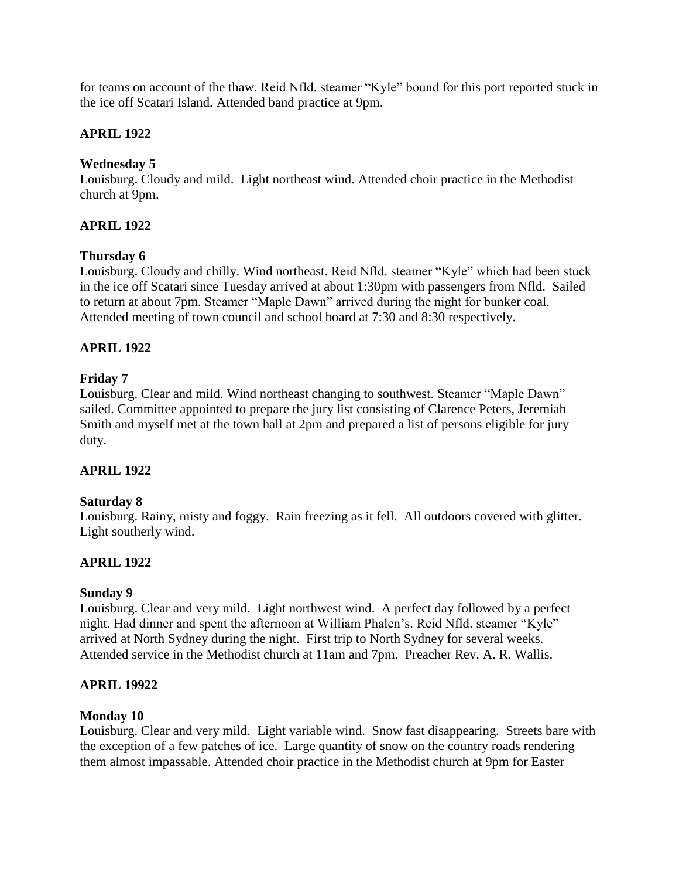for teams on account of the thaw. Reid Nfld. steamer "Kyle" bound for this port reported stuck in the ice off Scatari Island. Attended band practice at 9pm.

# **APRIL 1922**

## **Wednesday 5**

Louisburg. Cloudy and mild. Light northeast wind. Attended choir practice in the Methodist church at 9pm.

# **APRIL 1922**

### **Thursday 6**

Louisburg. Cloudy and chilly. Wind northeast. Reid Nfld. steamer "Kyle" which had been stuck in the ice off Scatari since Tuesday arrived at about 1:30pm with passengers from Nfld. Sailed to return at about 7pm. Steamer "Maple Dawn" arrived during the night for bunker coal. Attended meeting of town council and school board at 7:30 and 8:30 respectively.

# **APRIL 1922**

### **Friday 7**

Louisburg. Clear and mild. Wind northeast changing to southwest. Steamer "Maple Dawn" sailed. Committee appointed to prepare the jury list consisting of Clarence Peters, Jeremiah Smith and myself met at the town hall at 2pm and prepared a list of persons eligible for jury duty.

# **APRIL 1922**

### **Saturday 8**

Louisburg. Rainy, misty and foggy. Rain freezing as it fell. All outdoors covered with glitter. Light southerly wind.

# **APRIL 1922**

### **Sunday 9**

Louisburg. Clear and very mild. Light northwest wind. A perfect day followed by a perfect night. Had dinner and spent the afternoon at William Phalen's. Reid Nfld. steamer "Kyle" arrived at North Sydney during the night. First trip to North Sydney for several weeks. Attended service in the Methodist church at 11am and 7pm. Preacher Rev. A. R. Wallis.

### **APRIL 19922**

### **Monday 10**

Louisburg. Clear and very mild. Light variable wind. Snow fast disappearing. Streets bare with the exception of a few patches of ice. Large quantity of snow on the country roads rendering them almost impassable. Attended choir practice in the Methodist church at 9pm for Easter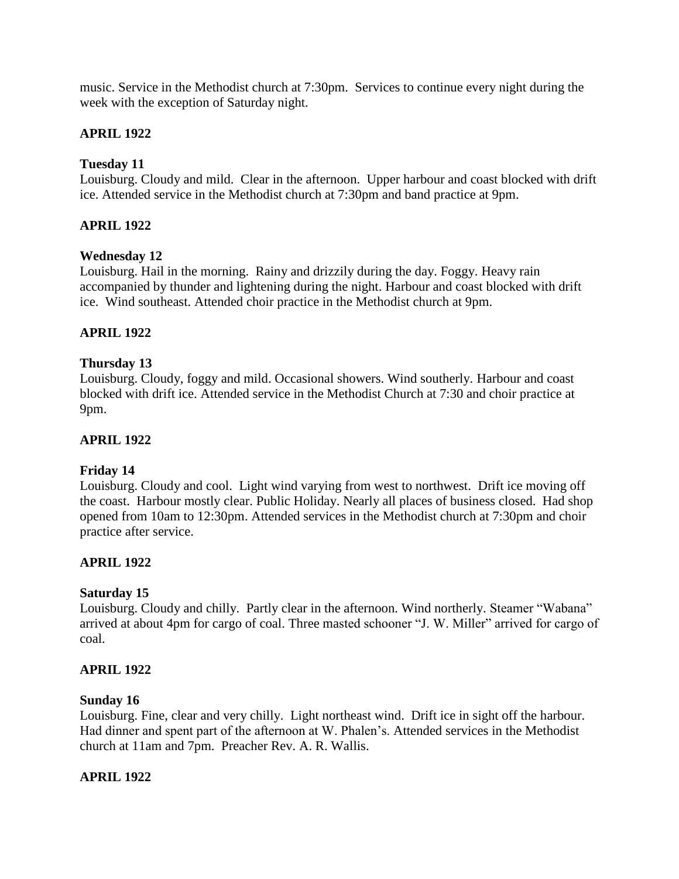music. Service in the Methodist church at 7:30pm. Services to continue every night during the week with the exception of Saturday night.

# **APRIL 1922**

## **Tuesday 11**

Louisburg. Cloudy and mild. Clear in the afternoon. Upper harbour and coast blocked with drift ice. Attended service in the Methodist church at 7:30pm and band practice at 9pm.

## **APRIL 1922**

### **Wednesday 12**

Louisburg. Hail in the morning. Rainy and drizzily during the day. Foggy. Heavy rain accompanied by thunder and lightening during the night. Harbour and coast blocked with drift ice. Wind southeast. Attended choir practice in the Methodist church at 9pm.

# **APRIL 1922**

### **Thursday 13**

Louisburg. Cloudy, foggy and mild. Occasional showers. Wind southerly. Harbour and coast blocked with drift ice. Attended service in the Methodist Church at 7:30 and choir practice at 9pm.

### **APRIL 1922**

# **Friday 14**

Louisburg. Cloudy and cool. Light wind varying from west to northwest. Drift ice moving off the coast. Harbour mostly clear. Public Holiday. Nearly all places of business closed. Had shop opened from 10am to 12:30pm. Attended services in the Methodist church at 7:30pm and choir practice after service.

# **APRIL 1922**

### **Saturday 15**

Louisburg. Cloudy and chilly. Partly clear in the afternoon. Wind northerly. Steamer "Wabana" arrived at about 4pm for cargo of coal. Three masted schooner "J. W. Miller" arrived for cargo of coal.

### **APRIL 1922**

### **Sunday 16**

Louisburg. Fine, clear and very chilly. Light northeast wind. Drift ice in sight off the harbour. Had dinner and spent part of the afternoon at W. Phalen's. Attended services in the Methodist church at 11am and 7pm. Preacher Rev. A. R. Wallis.

### **APRIL 1922**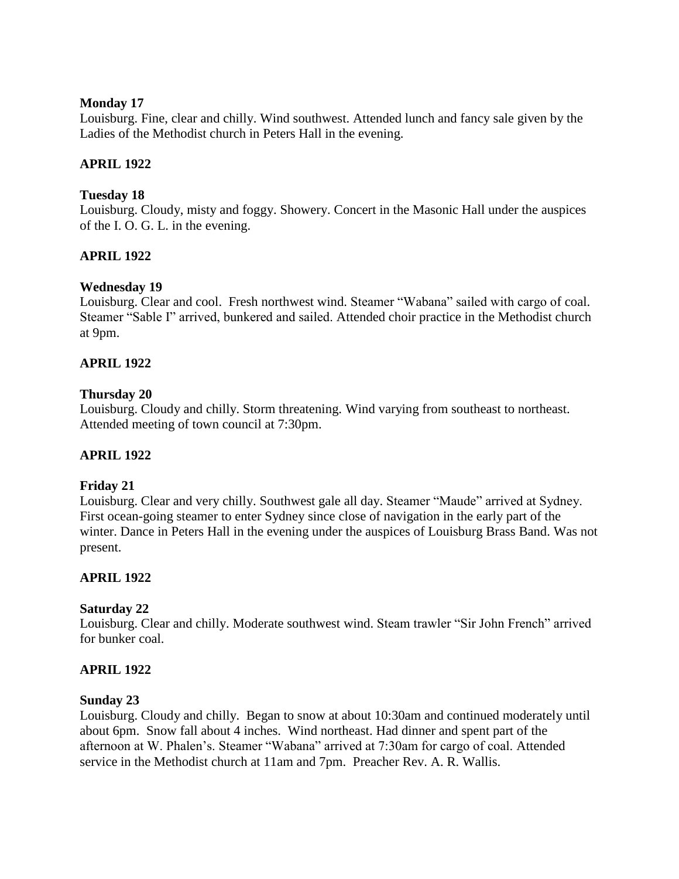### **Monday 17**

Louisburg. Fine, clear and chilly. Wind southwest. Attended lunch and fancy sale given by the Ladies of the Methodist church in Peters Hall in the evening.

## **APRIL 1922**

### **Tuesday 18**

Louisburg. Cloudy, misty and foggy. Showery. Concert in the Masonic Hall under the auspices of the I. O. G. L. in the evening.

# **APRIL 1922**

# **Wednesday 19**

Louisburg. Clear and cool. Fresh northwest wind. Steamer "Wabana" sailed with cargo of coal. Steamer "Sable I" arrived, bunkered and sailed. Attended choir practice in the Methodist church at 9pm.

# **APRIL 1922**

# **Thursday 20**

Louisburg. Cloudy and chilly. Storm threatening. Wind varying from southeast to northeast. Attended meeting of town council at 7:30pm.

# **APRIL 1922**

# **Friday 21**

Louisburg. Clear and very chilly. Southwest gale all day. Steamer "Maude" arrived at Sydney. First ocean-going steamer to enter Sydney since close of navigation in the early part of the winter. Dance in Peters Hall in the evening under the auspices of Louisburg Brass Band. Was not present.

# **APRIL 1922**

### **Saturday 22**

Louisburg. Clear and chilly. Moderate southwest wind. Steam trawler "Sir John French" arrived for bunker coal.

# **APRIL 1922**

### **Sunday 23**

Louisburg. Cloudy and chilly. Began to snow at about 10:30am and continued moderately until about 6pm. Snow fall about 4 inches. Wind northeast. Had dinner and spent part of the afternoon at W. Phalen's. Steamer "Wabana" arrived at 7:30am for cargo of coal. Attended service in the Methodist church at 11am and 7pm. Preacher Rev. A. R. Wallis.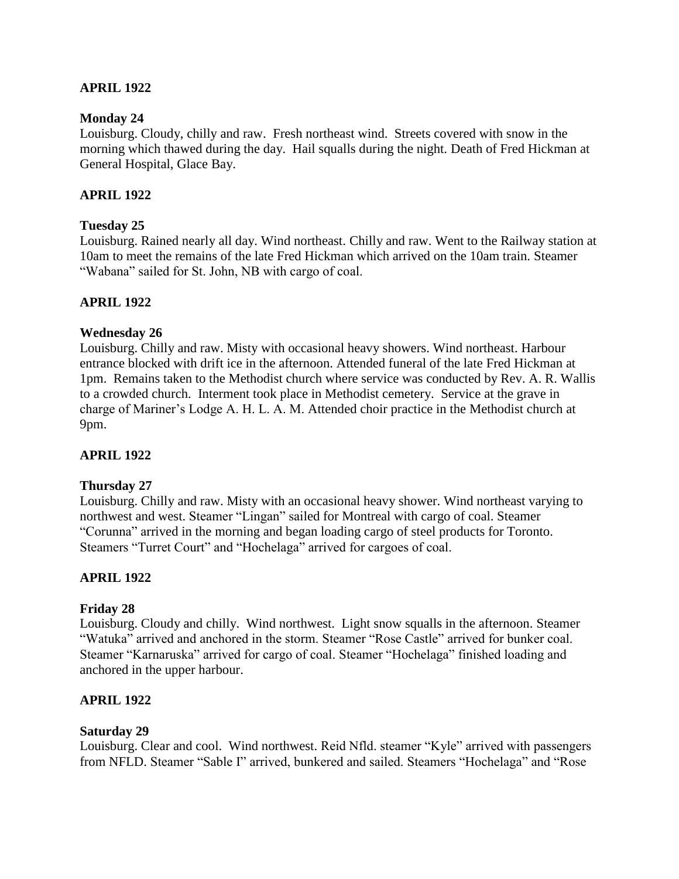### **APRIL 1922**

#### **Monday 24**

Louisburg. Cloudy, chilly and raw. Fresh northeast wind. Streets covered with snow in the morning which thawed during the day. Hail squalls during the night. Death of Fred Hickman at General Hospital, Glace Bay.

### **APRIL 1922**

#### **Tuesday 25**

Louisburg. Rained nearly all day. Wind northeast. Chilly and raw. Went to the Railway station at 10am to meet the remains of the late Fred Hickman which arrived on the 10am train. Steamer "Wabana" sailed for St. John, NB with cargo of coal.

### **APRIL 1922**

#### **Wednesday 26**

Louisburg. Chilly and raw. Misty with occasional heavy showers. Wind northeast. Harbour entrance blocked with drift ice in the afternoon. Attended funeral of the late Fred Hickman at 1pm. Remains taken to the Methodist church where service was conducted by Rev. A. R. Wallis to a crowded church. Interment took place in Methodist cemetery. Service at the grave in charge of Mariner's Lodge A. H. L. A. M. Attended choir practice in the Methodist church at 9pm.

### **APRIL 1922**

#### **Thursday 27**

Louisburg. Chilly and raw. Misty with an occasional heavy shower. Wind northeast varying to northwest and west. Steamer "Lingan" sailed for Montreal with cargo of coal. Steamer "Corunna" arrived in the morning and began loading cargo of steel products for Toronto. Steamers "Turret Court" and "Hochelaga" arrived for cargoes of coal.

### **APRIL 1922**

### **Friday 28**

Louisburg. Cloudy and chilly. Wind northwest. Light snow squalls in the afternoon. Steamer "Watuka" arrived and anchored in the storm. Steamer "Rose Castle" arrived for bunker coal. Steamer "Karnaruska" arrived for cargo of coal. Steamer "Hochelaga" finished loading and anchored in the upper harbour.

### **APRIL 1922**

#### **Saturday 29**

Louisburg. Clear and cool. Wind northwest. Reid Nfld. steamer "Kyle" arrived with passengers from NFLD. Steamer "Sable I" arrived, bunkered and sailed. Steamers "Hochelaga" and "Rose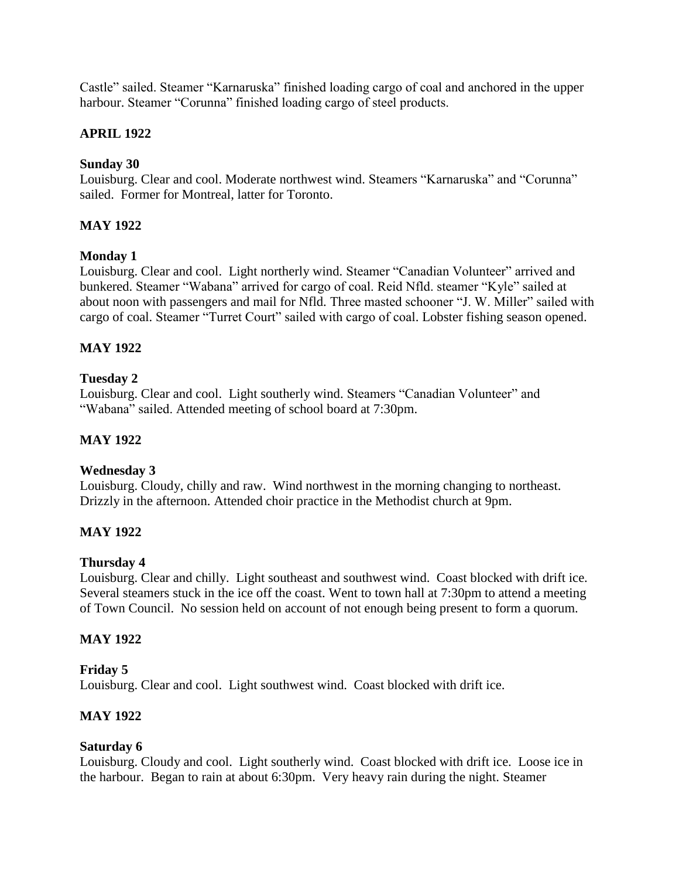Castle" sailed. Steamer "Karnaruska" finished loading cargo of coal and anchored in the upper harbour. Steamer "Corunna" finished loading cargo of steel products.

# **APRIL 1922**

## **Sunday 30**

Louisburg. Clear and cool. Moderate northwest wind. Steamers "Karnaruska" and "Corunna" sailed. Former for Montreal, latter for Toronto.

# **MAY 1922**

### **Monday 1**

Louisburg. Clear and cool. Light northerly wind. Steamer "Canadian Volunteer" arrived and bunkered. Steamer "Wabana" arrived for cargo of coal. Reid Nfld. steamer "Kyle" sailed at about noon with passengers and mail for Nfld. Three masted schooner "J. W. Miller" sailed with cargo of coal. Steamer "Turret Court" sailed with cargo of coal. Lobster fishing season opened.

# **MAY 1922**

### **Tuesday 2**

Louisburg. Clear and cool. Light southerly wind. Steamers "Canadian Volunteer" and "Wabana" sailed. Attended meeting of school board at 7:30pm.

## **MAY 1922**

### **Wednesday 3**

Louisburg. Cloudy, chilly and raw. Wind northwest in the morning changing to northeast. Drizzly in the afternoon. Attended choir practice in the Methodist church at 9pm.

# **MAY 1922**

### **Thursday 4**

Louisburg. Clear and chilly. Light southeast and southwest wind. Coast blocked with drift ice. Several steamers stuck in the ice off the coast. Went to town hall at 7:30pm to attend a meeting of Town Council. No session held on account of not enough being present to form a quorum.

### **MAY 1922**

### **Friday 5**

Louisburg. Clear and cool. Light southwest wind. Coast blocked with drift ice.

# **MAY 1922**

### **Saturday 6**

Louisburg. Cloudy and cool. Light southerly wind. Coast blocked with drift ice. Loose ice in the harbour. Began to rain at about 6:30pm. Very heavy rain during the night. Steamer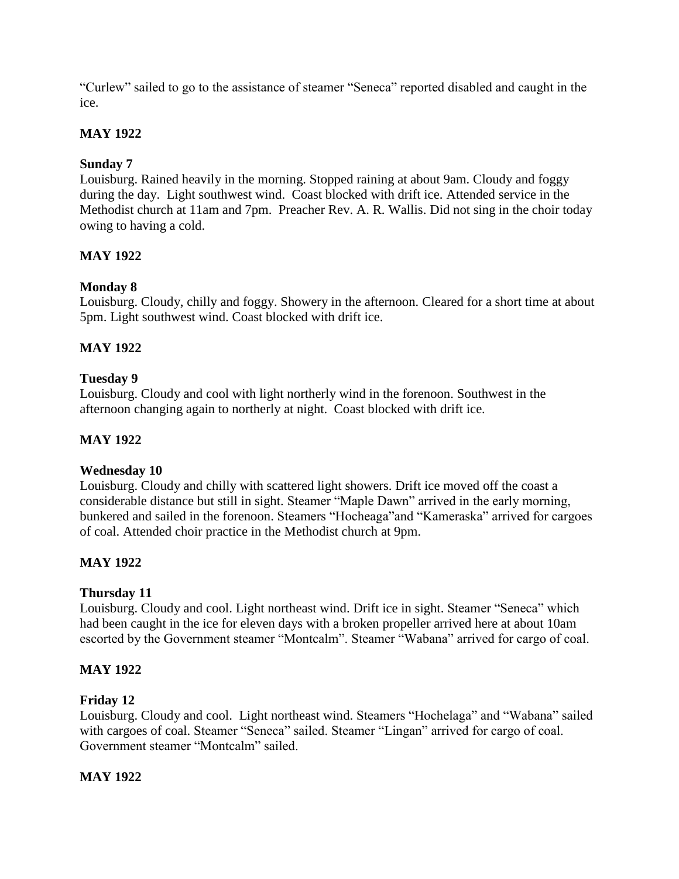"Curlew" sailed to go to the assistance of steamer "Seneca" reported disabled and caught in the ice.

# **MAY 1922**

# **Sunday 7**

Louisburg. Rained heavily in the morning. Stopped raining at about 9am. Cloudy and foggy during the day. Light southwest wind. Coast blocked with drift ice. Attended service in the Methodist church at 11am and 7pm. Preacher Rev. A. R. Wallis. Did not sing in the choir today owing to having a cold.

# **MAY 1922**

# **Monday 8**

Louisburg. Cloudy, chilly and foggy. Showery in the afternoon. Cleared for a short time at about 5pm. Light southwest wind. Coast blocked with drift ice.

# **MAY 1922**

# **Tuesday 9**

Louisburg. Cloudy and cool with light northerly wind in the forenoon. Southwest in the afternoon changing again to northerly at night. Coast blocked with drift ice.

## **MAY 1922**

# **Wednesday 10**

Louisburg. Cloudy and chilly with scattered light showers. Drift ice moved off the coast a considerable distance but still in sight. Steamer "Maple Dawn" arrived in the early morning, bunkered and sailed in the forenoon. Steamers "Hocheaga"and "Kameraska" arrived for cargoes of coal. Attended choir practice in the Methodist church at 9pm.

# **MAY 1922**

### **Thursday 11**

Louisburg. Cloudy and cool. Light northeast wind. Drift ice in sight. Steamer "Seneca" which had been caught in the ice for eleven days with a broken propeller arrived here at about 10am escorted by the Government steamer "Montcalm". Steamer "Wabana" arrived for cargo of coal.

### **MAY 1922**

### **Friday 12**

Louisburg. Cloudy and cool. Light northeast wind. Steamers "Hochelaga" and "Wabana" sailed with cargoes of coal. Steamer "Seneca" sailed. Steamer "Lingan" arrived for cargo of coal. Government steamer "Montcalm" sailed.

# **MAY 1922**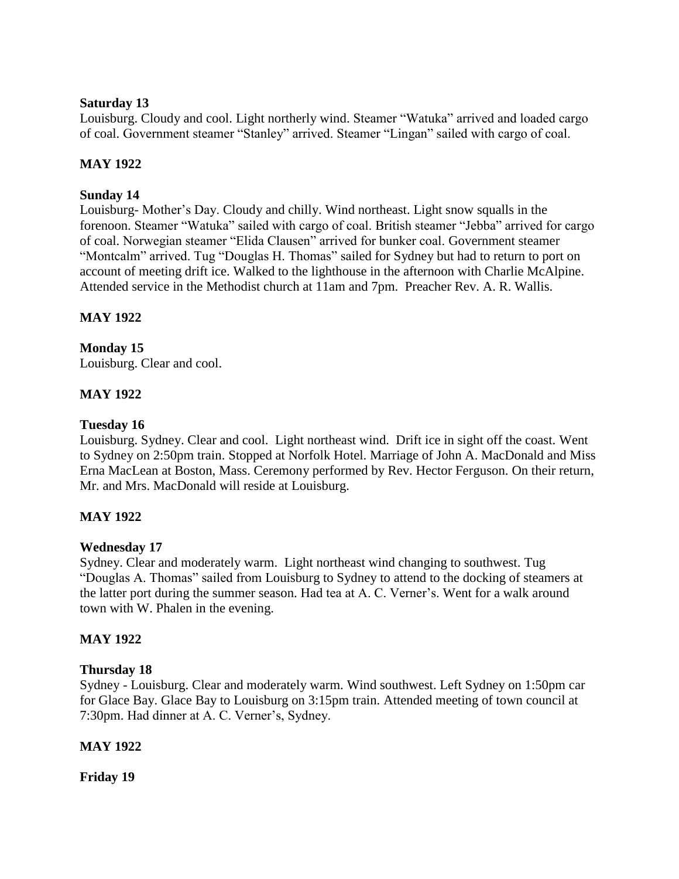### **Saturday 13**

Louisburg. Cloudy and cool. Light northerly wind. Steamer "Watuka" arrived and loaded cargo of coal. Government steamer "Stanley" arrived. Steamer "Lingan" sailed with cargo of coal.

# **MAY 1922**

# **Sunday 14**

Louisburg- Mother's Day. Cloudy and chilly. Wind northeast. Light snow squalls in the forenoon. Steamer "Watuka" sailed with cargo of coal. British steamer "Jebba" arrived for cargo of coal. Norwegian steamer "Elida Clausen" arrived for bunker coal. Government steamer "Montcalm" arrived. Tug "Douglas H. Thomas" sailed for Sydney but had to return to port on account of meeting drift ice. Walked to the lighthouse in the afternoon with Charlie McAlpine. Attended service in the Methodist church at 11am and 7pm. Preacher Rev. A. R. Wallis.

# **MAY 1922**

# **Monday 15**

Louisburg. Clear and cool.

# **MAY 1922**

### **Tuesday 16**

Louisburg. Sydney. Clear and cool. Light northeast wind. Drift ice in sight off the coast. Went to Sydney on 2:50pm train. Stopped at Norfolk Hotel. Marriage of John A. MacDonald and Miss Erna MacLean at Boston, Mass. Ceremony performed by Rev. Hector Ferguson. On their return, Mr. and Mrs. MacDonald will reside at Louisburg.

# **MAY 1922**

# **Wednesday 17**

Sydney. Clear and moderately warm. Light northeast wind changing to southwest. Tug "Douglas A. Thomas" sailed from Louisburg to Sydney to attend to the docking of steamers at the latter port during the summer season. Had tea at A. C. Verner's. Went for a walk around town with W. Phalen in the evening.

# **MAY 1922**

### **Thursday 18**

Sydney - Louisburg. Clear and moderately warm. Wind southwest. Left Sydney on 1:50pm car for Glace Bay. Glace Bay to Louisburg on 3:15pm train. Attended meeting of town council at 7:30pm. Had dinner at A. C. Verner's, Sydney.

# **MAY 1922**

**Friday 19**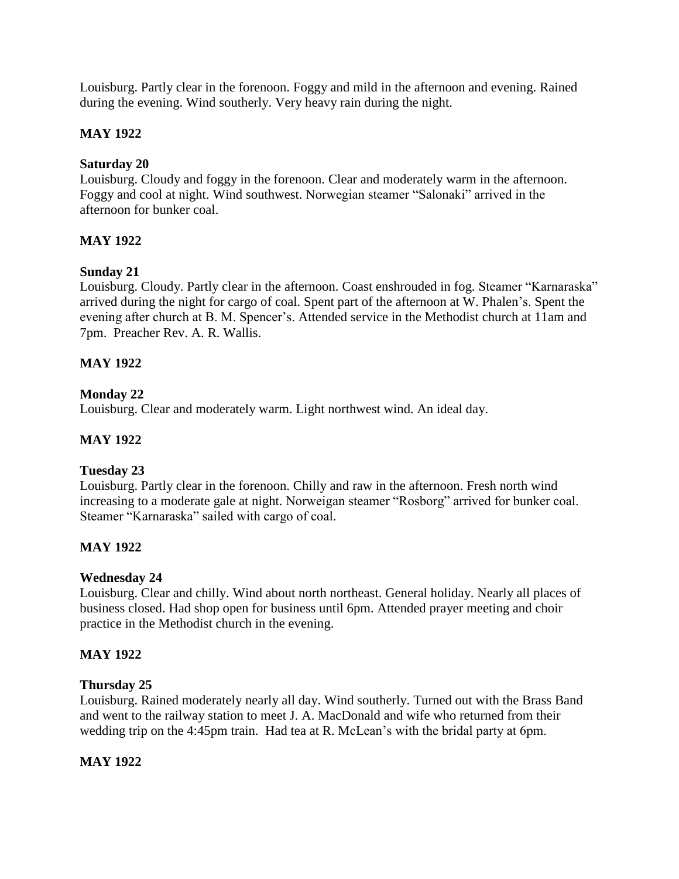Louisburg. Partly clear in the forenoon. Foggy and mild in the afternoon and evening. Rained during the evening. Wind southerly. Very heavy rain during the night.

## **MAY 1922**

### **Saturday 20**

Louisburg. Cloudy and foggy in the forenoon. Clear and moderately warm in the afternoon. Foggy and cool at night. Wind southwest. Norwegian steamer "Salonaki" arrived in the afternoon for bunker coal.

### **MAY 1922**

### **Sunday 21**

Louisburg. Cloudy. Partly clear in the afternoon. Coast enshrouded in fog. Steamer "Karnaraska" arrived during the night for cargo of coal. Spent part of the afternoon at W. Phalen's. Spent the evening after church at B. M. Spencer's. Attended service in the Methodist church at 11am and 7pm. Preacher Rev. A. R. Wallis.

### **MAY 1922**

### **Monday 22**

Louisburg. Clear and moderately warm. Light northwest wind. An ideal day.

### **MAY 1922**

# **Tuesday 23**

Louisburg. Partly clear in the forenoon. Chilly and raw in the afternoon. Fresh north wind increasing to a moderate gale at night. Norweigan steamer "Rosborg" arrived for bunker coal. Steamer "Karnaraska" sailed with cargo of coal.

### **MAY 1922**

### **Wednesday 24**

Louisburg. Clear and chilly. Wind about north northeast. General holiday. Nearly all places of business closed. Had shop open for business until 6pm. Attended prayer meeting and choir practice in the Methodist church in the evening.

### **MAY 1922**

### **Thursday 25**

Louisburg. Rained moderately nearly all day. Wind southerly. Turned out with the Brass Band and went to the railway station to meet J. A. MacDonald and wife who returned from their wedding trip on the 4:45pm train. Had tea at R. McLean's with the bridal party at 6pm.

### **MAY 1922**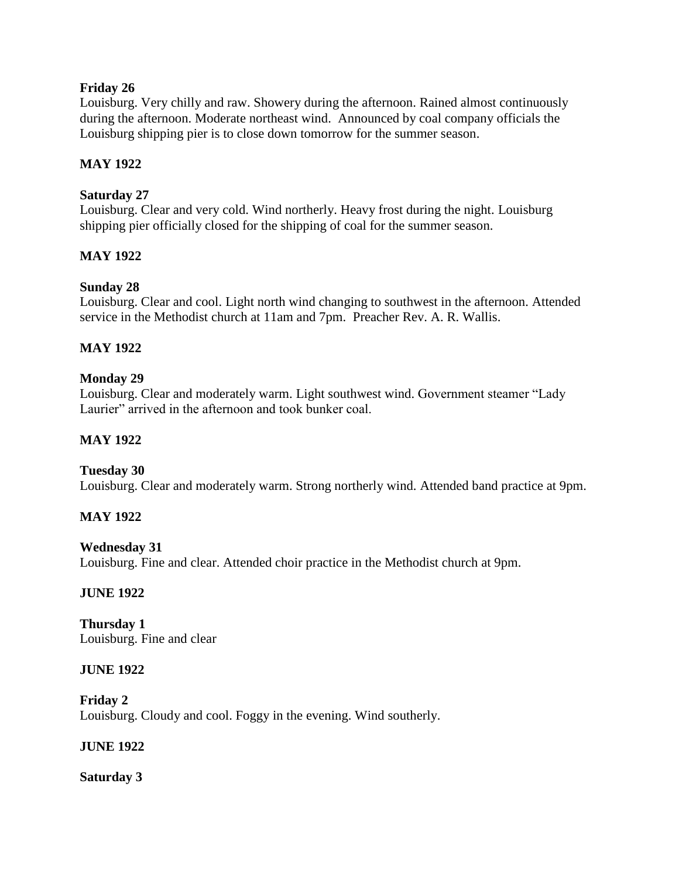## **Friday 26**

Louisburg. Very chilly and raw. Showery during the afternoon. Rained almost continuously during the afternoon. Moderate northeast wind. Announced by coal company officials the Louisburg shipping pier is to close down tomorrow for the summer season.

## **MAY 1922**

### **Saturday 27**

Louisburg. Clear and very cold. Wind northerly. Heavy frost during the night. Louisburg shipping pier officially closed for the shipping of coal for the summer season.

### **MAY 1922**

# **Sunday 28**

Louisburg. Clear and cool. Light north wind changing to southwest in the afternoon. Attended service in the Methodist church at 11am and 7pm. Preacher Rev. A. R. Wallis.

# **MAY 1922**

### **Monday 29**

Louisburg. Clear and moderately warm. Light southwest wind. Government steamer "Lady Laurier" arrived in the afternoon and took bunker coal.

## **MAY 1922**

### **Tuesday 30**

Louisburg. Clear and moderately warm. Strong northerly wind. Attended band practice at 9pm.

### **MAY 1922**

### **Wednesday 31** Louisburg. Fine and clear. Attended choir practice in the Methodist church at 9pm.

### **JUNE 1922**

**Thursday 1** Louisburg. Fine and clear

### **JUNE 1922**

**Friday 2** Louisburg. Cloudy and cool. Foggy in the evening. Wind southerly.

### **JUNE 1922**

**Saturday 3**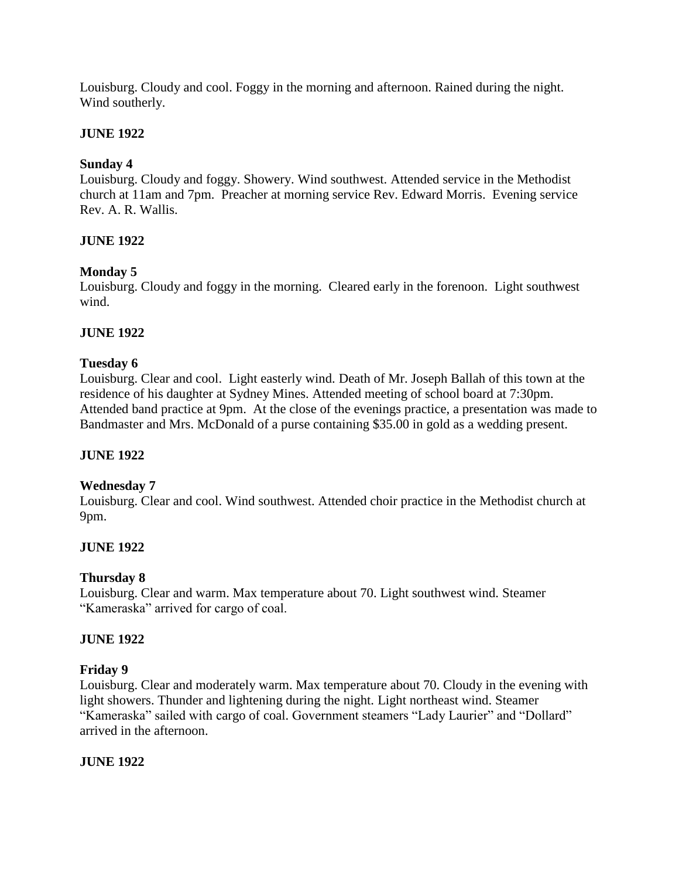Louisburg. Cloudy and cool. Foggy in the morning and afternoon. Rained during the night. Wind southerly.

## **JUNE 1922**

## **Sunday 4**

Louisburg. Cloudy and foggy. Showery. Wind southwest. Attended service in the Methodist church at 11am and 7pm. Preacher at morning service Rev. Edward Morris. Evening service Rev. A. R. Wallis.

### **JUNE 1922**

### **Monday 5**

Louisburg. Cloudy and foggy in the morning. Cleared early in the forenoon. Light southwest wind.

### **JUNE 1922**

### **Tuesday 6**

Louisburg. Clear and cool. Light easterly wind. Death of Mr. Joseph Ballah of this town at the residence of his daughter at Sydney Mines. Attended meeting of school board at 7:30pm. Attended band practice at 9pm. At the close of the evenings practice, a presentation was made to Bandmaster and Mrs. McDonald of a purse containing \$35.00 in gold as a wedding present.

### **JUNE 1922**

### **Wednesday 7**

Louisburg. Clear and cool. Wind southwest. Attended choir practice in the Methodist church at 9pm.

### **JUNE 1922**

# **Thursday 8**

Louisburg. Clear and warm. Max temperature about 70. Light southwest wind. Steamer "Kameraska" arrived for cargo of coal.

### **JUNE 1922**

### **Friday 9**

Louisburg. Clear and moderately warm. Max temperature about 70. Cloudy in the evening with light showers. Thunder and lightening during the night. Light northeast wind. Steamer "Kameraska" sailed with cargo of coal. Government steamers "Lady Laurier" and "Dollard" arrived in the afternoon.

### **JUNE 1922**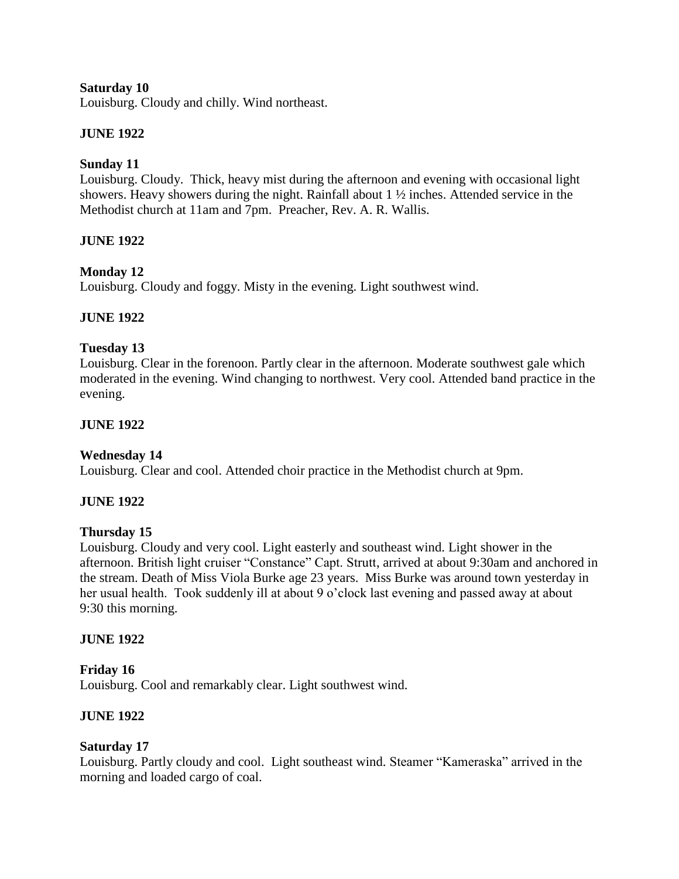### **Saturday 10**

Louisburg. Cloudy and chilly. Wind northeast.

## **JUNE 1922**

### **Sunday 11**

Louisburg. Cloudy. Thick, heavy mist during the afternoon and evening with occasional light showers. Heavy showers during the night. Rainfall about 1 ½ inches. Attended service in the Methodist church at 11am and 7pm. Preacher, Rev. A. R. Wallis.

### **JUNE 1922**

### **Monday 12**

Louisburg. Cloudy and foggy. Misty in the evening. Light southwest wind.

### **JUNE 1922**

### **Tuesday 13**

Louisburg. Clear in the forenoon. Partly clear in the afternoon. Moderate southwest gale which moderated in the evening. Wind changing to northwest. Very cool. Attended band practice in the evening.

### **JUNE 1922**

# **Wednesday 14**

Louisburg. Clear and cool. Attended choir practice in the Methodist church at 9pm.

### **JUNE 1922**

### **Thursday 15**

Louisburg. Cloudy and very cool. Light easterly and southeast wind. Light shower in the afternoon. British light cruiser "Constance" Capt. Strutt, arrived at about 9:30am and anchored in the stream. Death of Miss Viola Burke age 23 years. Miss Burke was around town yesterday in her usual health. Took suddenly ill at about 9 o'clock last evening and passed away at about 9:30 this morning.

### **JUNE 1922**

### **Friday 16**

Louisburg. Cool and remarkably clear. Light southwest wind.

### **JUNE 1922**

### **Saturday 17**

Louisburg. Partly cloudy and cool. Light southeast wind. Steamer "Kameraska" arrived in the morning and loaded cargo of coal.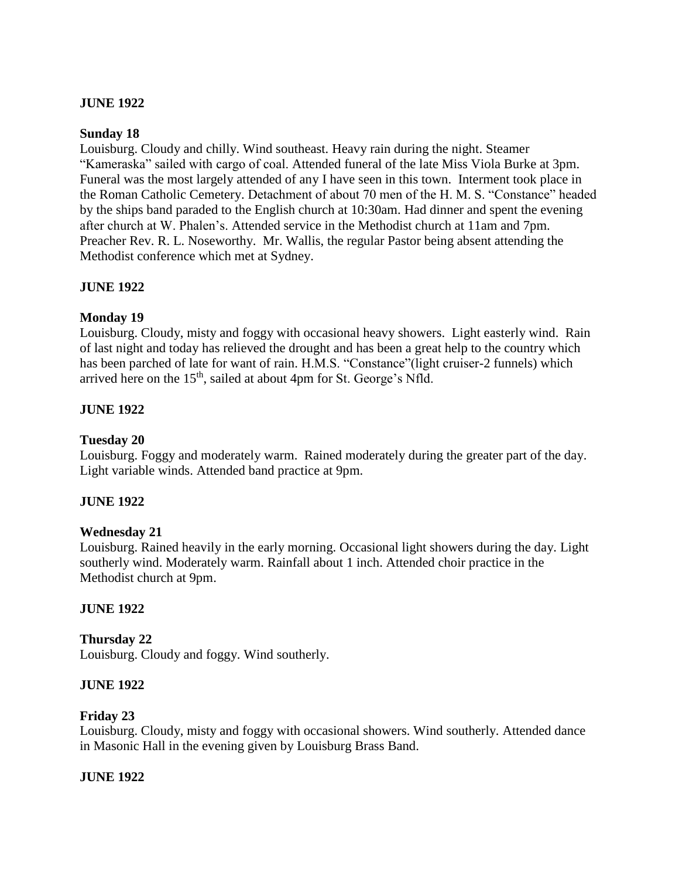### **JUNE 1922**

#### **Sunday 18**

Louisburg. Cloudy and chilly. Wind southeast. Heavy rain during the night. Steamer "Kameraska" sailed with cargo of coal. Attended funeral of the late Miss Viola Burke at 3pm. Funeral was the most largely attended of any I have seen in this town. Interment took place in the Roman Catholic Cemetery. Detachment of about 70 men of the H. M. S. "Constance" headed by the ships band paraded to the English church at 10:30am. Had dinner and spent the evening after church at W. Phalen's. Attended service in the Methodist church at 11am and 7pm. Preacher Rev. R. L. Noseworthy. Mr. Wallis, the regular Pastor being absent attending the Methodist conference which met at Sydney.

### **JUNE 1922**

### **Monday 19**

Louisburg. Cloudy, misty and foggy with occasional heavy showers. Light easterly wind. Rain of last night and today has relieved the drought and has been a great help to the country which has been parched of late for want of rain. H.M.S. "Constance"(light cruiser-2 funnels) which arrived here on the 15<sup>th</sup>, sailed at about 4pm for St. George's Nfld.

### **JUNE 1922**

### **Tuesday 20**

Louisburg. Foggy and moderately warm. Rained moderately during the greater part of the day. Light variable winds. Attended band practice at 9pm.

### **JUNE 1922**

### **Wednesday 21**

Louisburg. Rained heavily in the early morning. Occasional light showers during the day. Light southerly wind. Moderately warm. Rainfall about 1 inch. Attended choir practice in the Methodist church at 9pm.

### **JUNE 1922**

### **Thursday 22**

Louisburg. Cloudy and foggy. Wind southerly.

### **JUNE 1922**

### **Friday 23**

Louisburg. Cloudy, misty and foggy with occasional showers. Wind southerly. Attended dance in Masonic Hall in the evening given by Louisburg Brass Band.

### **JUNE 1922**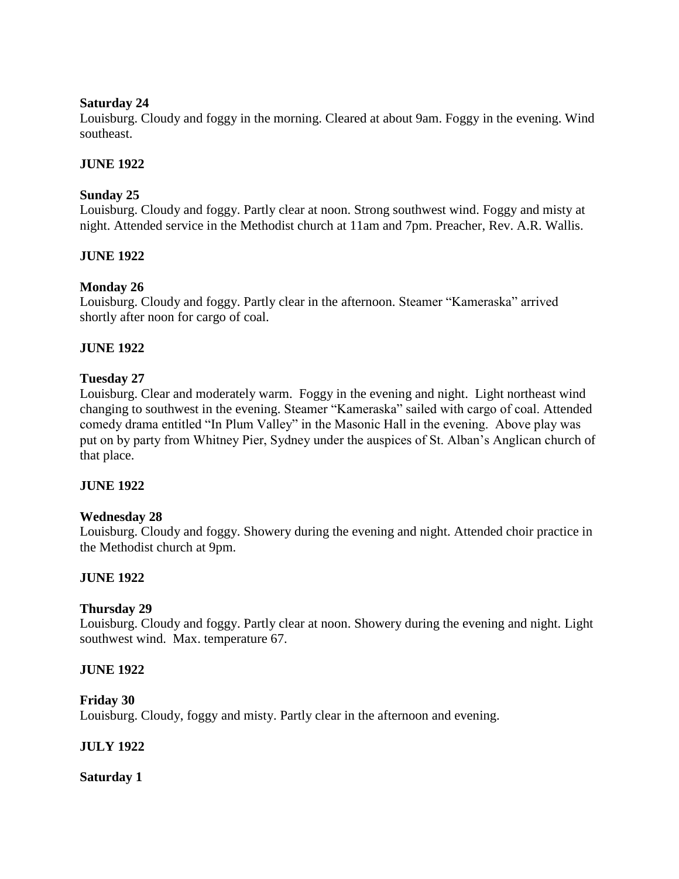### **Saturday 24**

Louisburg. Cloudy and foggy in the morning. Cleared at about 9am. Foggy in the evening. Wind southeast.

## **JUNE 1922**

# **Sunday 25**

Louisburg. Cloudy and foggy. Partly clear at noon. Strong southwest wind. Foggy and misty at night. Attended service in the Methodist church at 11am and 7pm. Preacher, Rev. A.R. Wallis.

# **JUNE 1922**

# **Monday 26**

Louisburg. Cloudy and foggy. Partly clear in the afternoon. Steamer "Kameraska" arrived shortly after noon for cargo of coal.

### **JUNE 1922**

### **Tuesday 27**

Louisburg. Clear and moderately warm. Foggy in the evening and night. Light northeast wind changing to southwest in the evening. Steamer "Kameraska" sailed with cargo of coal. Attended comedy drama entitled "In Plum Valley" in the Masonic Hall in the evening. Above play was put on by party from Whitney Pier, Sydney under the auspices of St. Alban's Anglican church of that place.

### **JUNE 1922**

### **Wednesday 28**

Louisburg. Cloudy and foggy. Showery during the evening and night. Attended choir practice in the Methodist church at 9pm.

# **JUNE 1922**

### **Thursday 29**

Louisburg. Cloudy and foggy. Partly clear at noon. Showery during the evening and night. Light southwest wind. Max. temperature 67.

### **JUNE 1922**

### **Friday 30**

Louisburg. Cloudy, foggy and misty. Partly clear in the afternoon and evening.

### **JULY 1922**

**Saturday 1**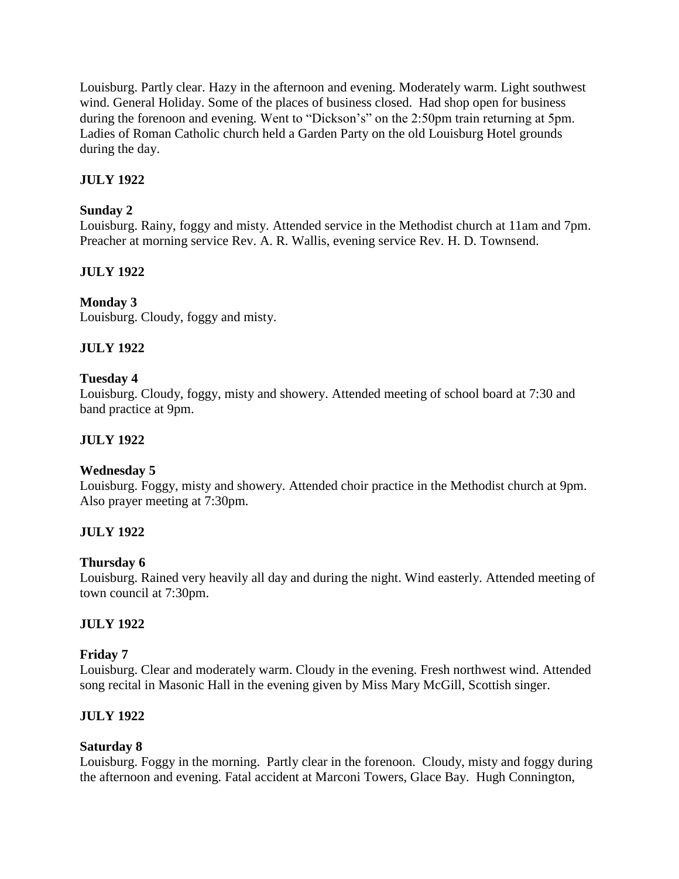Louisburg. Partly clear. Hazy in the afternoon and evening. Moderately warm. Light southwest wind. General Holiday. Some of the places of business closed. Had shop open for business during the forenoon and evening. Went to "Dickson's" on the 2:50pm train returning at 5pm. Ladies of Roman Catholic church held a Garden Party on the old Louisburg Hotel grounds during the day.

# **JULY 1922**

# **Sunday 2**

Louisburg. Rainy, foggy and misty. Attended service in the Methodist church at 11am and 7pm. Preacher at morning service Rev. A. R. Wallis, evening service Rev. H. D. Townsend.

# **JULY 1922**

# **Monday 3**

Louisburg. Cloudy, foggy and misty.

# **JULY 1922**

# **Tuesday 4**

Louisburg. Cloudy, foggy, misty and showery. Attended meeting of school board at 7:30 and band practice at 9pm.

# **JULY 1922**

# **Wednesday 5**

Louisburg. Foggy, misty and showery. Attended choir practice in the Methodist church at 9pm. Also prayer meeting at 7:30pm.

# **JULY 1922**

# **Thursday 6**

Louisburg. Rained very heavily all day and during the night. Wind easterly. Attended meeting of town council at 7:30pm.

# **JULY 1922**

# **Friday 7**

Louisburg. Clear and moderately warm. Cloudy in the evening. Fresh northwest wind. Attended song recital in Masonic Hall in the evening given by Miss Mary McGill, Scottish singer.

# **JULY 1922**

# **Saturday 8**

Louisburg. Foggy in the morning. Partly clear in the forenoon. Cloudy, misty and foggy during the afternoon and evening. Fatal accident at Marconi Towers, Glace Bay. Hugh Connington,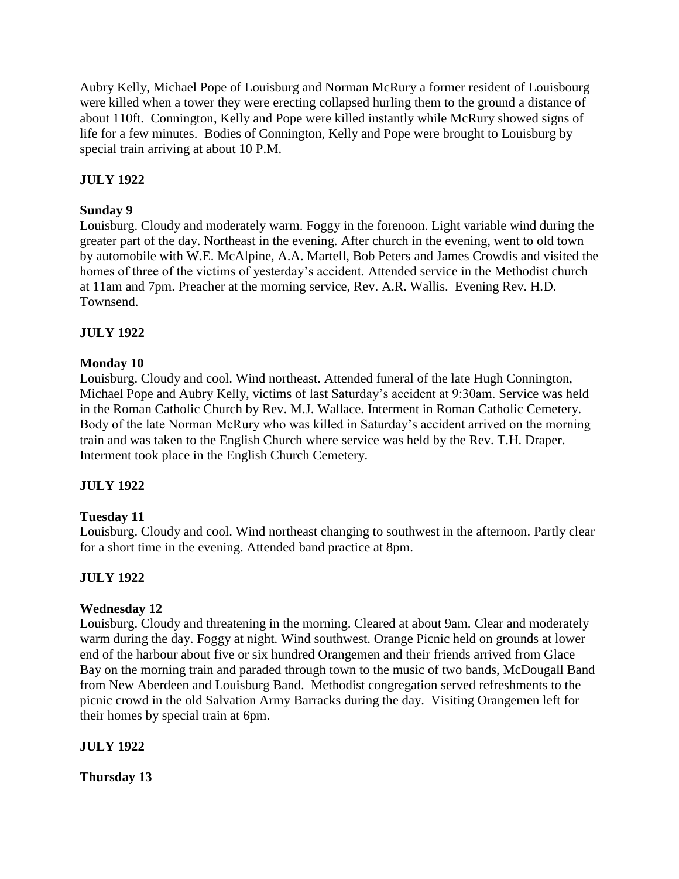Aubry Kelly, Michael Pope of Louisburg and Norman McRury a former resident of Louisbourg were killed when a tower they were erecting collapsed hurling them to the ground a distance of about 110ft. Connington, Kelly and Pope were killed instantly while McRury showed signs of life for a few minutes. Bodies of Connington, Kelly and Pope were brought to Louisburg by special train arriving at about 10 P.M.

# **JULY 1922**

# **Sunday 9**

Louisburg. Cloudy and moderately warm. Foggy in the forenoon. Light variable wind during the greater part of the day. Northeast in the evening. After church in the evening, went to old town by automobile with W.E. McAlpine, A.A. Martell, Bob Peters and James Crowdis and visited the homes of three of the victims of yesterday's accident. Attended service in the Methodist church at 11am and 7pm. Preacher at the morning service, Rev. A.R. Wallis. Evening Rev. H.D. Townsend.

# **JULY 1922**

### **Monday 10**

Louisburg. Cloudy and cool. Wind northeast. Attended funeral of the late Hugh Connington, Michael Pope and Aubry Kelly, victims of last Saturday's accident at 9:30am. Service was held in the Roman Catholic Church by Rev. M.J. Wallace. Interment in Roman Catholic Cemetery. Body of the late Norman McRury who was killed in Saturday's accident arrived on the morning train and was taken to the English Church where service was held by the Rev. T.H. Draper. Interment took place in the English Church Cemetery.

### **JULY 1922**

### **Tuesday 11**

Louisburg. Cloudy and cool. Wind northeast changing to southwest in the afternoon. Partly clear for a short time in the evening. Attended band practice at 8pm.

# **JULY 1922**

### **Wednesday 12**

Louisburg. Cloudy and threatening in the morning. Cleared at about 9am. Clear and moderately warm during the day. Foggy at night. Wind southwest. Orange Picnic held on grounds at lower end of the harbour about five or six hundred Orangemen and their friends arrived from Glace Bay on the morning train and paraded through town to the music of two bands, McDougall Band from New Aberdeen and Louisburg Band. Methodist congregation served refreshments to the picnic crowd in the old Salvation Army Barracks during the day. Visiting Orangemen left for their homes by special train at 6pm.

### **JULY 1922**

**Thursday 13**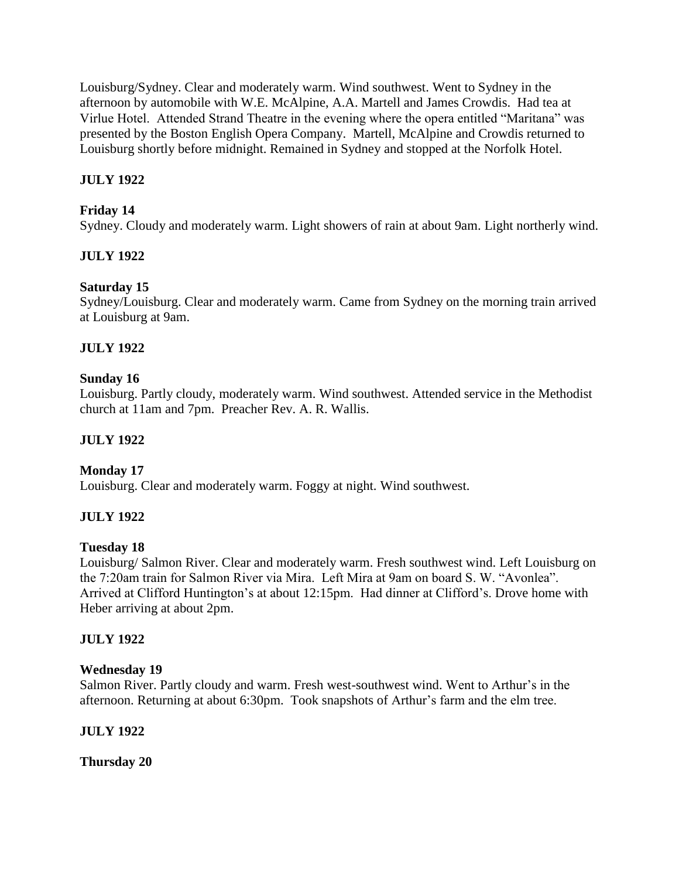Louisburg/Sydney. Clear and moderately warm. Wind southwest. Went to Sydney in the afternoon by automobile with W.E. McAlpine, A.A. Martell and James Crowdis. Had tea at Virlue Hotel. Attended Strand Theatre in the evening where the opera entitled "Maritana" was presented by the Boston English Opera Company. Martell, McAlpine and Crowdis returned to Louisburg shortly before midnight. Remained in Sydney and stopped at the Norfolk Hotel.

# **JULY 1922**

# **Friday 14**

Sydney. Cloudy and moderately warm. Light showers of rain at about 9am. Light northerly wind.

# **JULY 1922**

# **Saturday 15**

Sydney/Louisburg. Clear and moderately warm. Came from Sydney on the morning train arrived at Louisburg at 9am.

# **JULY 1922**

# **Sunday 16**

Louisburg. Partly cloudy, moderately warm. Wind southwest. Attended service in the Methodist church at 11am and 7pm. Preacher Rev. A. R. Wallis.

# **JULY 1922**

# **Monday 17**

Louisburg. Clear and moderately warm. Foggy at night. Wind southwest.

# **JULY 1922**

# **Tuesday 18**

Louisburg/ Salmon River. Clear and moderately warm. Fresh southwest wind. Left Louisburg on the 7:20am train for Salmon River via Mira. Left Mira at 9am on board S. W. "Avonlea". Arrived at Clifford Huntington's at about 12:15pm. Had dinner at Clifford's. Drove home with Heber arriving at about 2pm.

# **JULY 1922**

### **Wednesday 19**

Salmon River. Partly cloudy and warm. Fresh west-southwest wind. Went to Arthur's in the afternoon. Returning at about 6:30pm. Took snapshots of Arthur's farm and the elm tree.

# **JULY 1922**

**Thursday 20**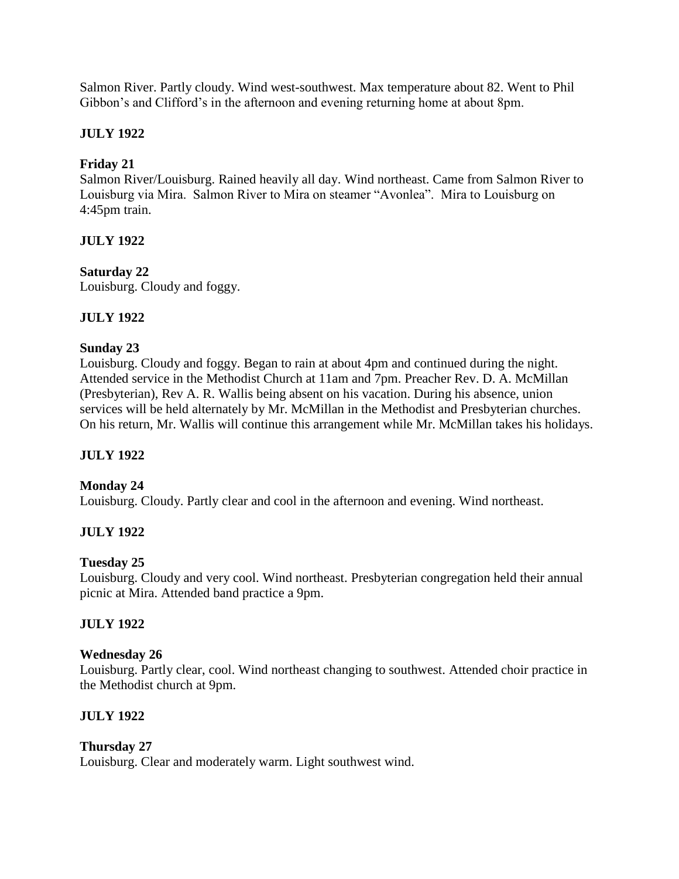Salmon River. Partly cloudy. Wind west-southwest. Max temperature about 82. Went to Phil Gibbon's and Clifford's in the afternoon and evening returning home at about 8pm.

# **JULY 1922**

# **Friday 21**

Salmon River/Louisburg. Rained heavily all day. Wind northeast. Came from Salmon River to Louisburg via Mira. Salmon River to Mira on steamer "Avonlea". Mira to Louisburg on 4:45pm train.

# **JULY 1922**

# **Saturday 22**

Louisburg. Cloudy and foggy.

# **JULY 1922**

# **Sunday 23**

Louisburg. Cloudy and foggy. Began to rain at about 4pm and continued during the night. Attended service in the Methodist Church at 11am and 7pm. Preacher Rev. D. A. McMillan (Presbyterian), Rev A. R. Wallis being absent on his vacation. During his absence, union services will be held alternately by Mr. McMillan in the Methodist and Presbyterian churches. On his return, Mr. Wallis will continue this arrangement while Mr. McMillan takes his holidays.

# **JULY 1922**

# **Monday 24**

Louisburg. Cloudy. Partly clear and cool in the afternoon and evening. Wind northeast.

# **JULY 1922**

# **Tuesday 25**

Louisburg. Cloudy and very cool. Wind northeast. Presbyterian congregation held their annual picnic at Mira. Attended band practice a 9pm.

# **JULY 1922**

# **Wednesday 26**

Louisburg. Partly clear, cool. Wind northeast changing to southwest. Attended choir practice in the Methodist church at 9pm.

# **JULY 1922**

# **Thursday 27**

Louisburg. Clear and moderately warm. Light southwest wind.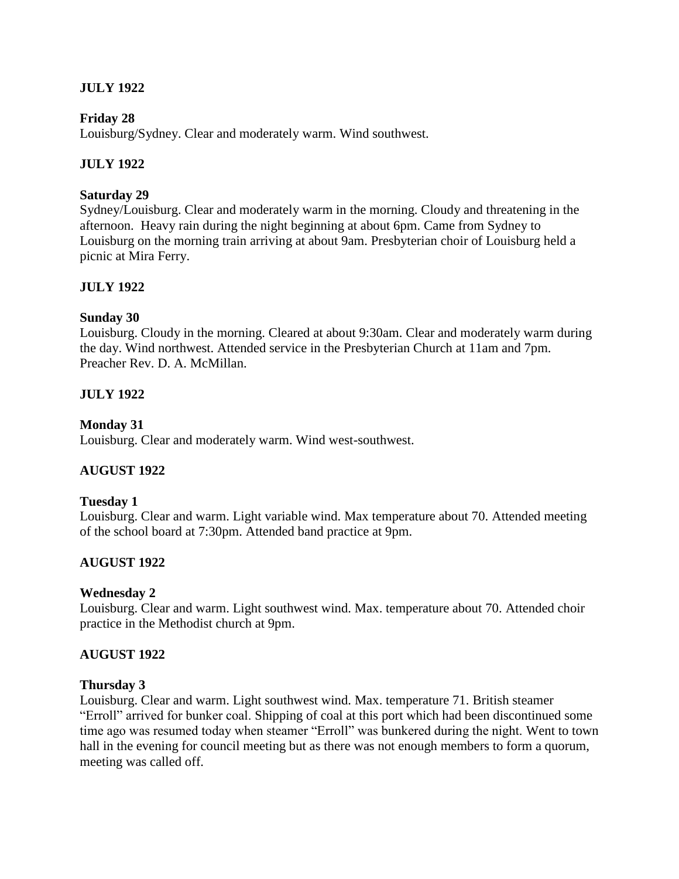# **JULY 1922**

### **Friday 28**

Louisburg/Sydney. Clear and moderately warm. Wind southwest.

### **JULY 1922**

#### **Saturday 29**

Sydney/Louisburg. Clear and moderately warm in the morning. Cloudy and threatening in the afternoon. Heavy rain during the night beginning at about 6pm. Came from Sydney to Louisburg on the morning train arriving at about 9am. Presbyterian choir of Louisburg held a picnic at Mira Ferry.

### **JULY 1922**

#### **Sunday 30**

Louisburg. Cloudy in the morning. Cleared at about 9:30am. Clear and moderately warm during the day. Wind northwest. Attended service in the Presbyterian Church at 11am and 7pm. Preacher Rev. D. A. McMillan.

### **JULY 1922**

#### **Monday 31**

Louisburg. Clear and moderately warm. Wind west-southwest.

### **AUGUST 1922**

#### **Tuesday 1**

Louisburg. Clear and warm. Light variable wind. Max temperature about 70. Attended meeting of the school board at 7:30pm. Attended band practice at 9pm.

### **AUGUST 1922**

#### **Wednesday 2**

Louisburg. Clear and warm. Light southwest wind. Max. temperature about 70. Attended choir practice in the Methodist church at 9pm.

#### **AUGUST 1922**

#### **Thursday 3**

Louisburg. Clear and warm. Light southwest wind. Max. temperature 71. British steamer "Erroll" arrived for bunker coal. Shipping of coal at this port which had been discontinued some time ago was resumed today when steamer "Erroll" was bunkered during the night. Went to town hall in the evening for council meeting but as there was not enough members to form a quorum, meeting was called off.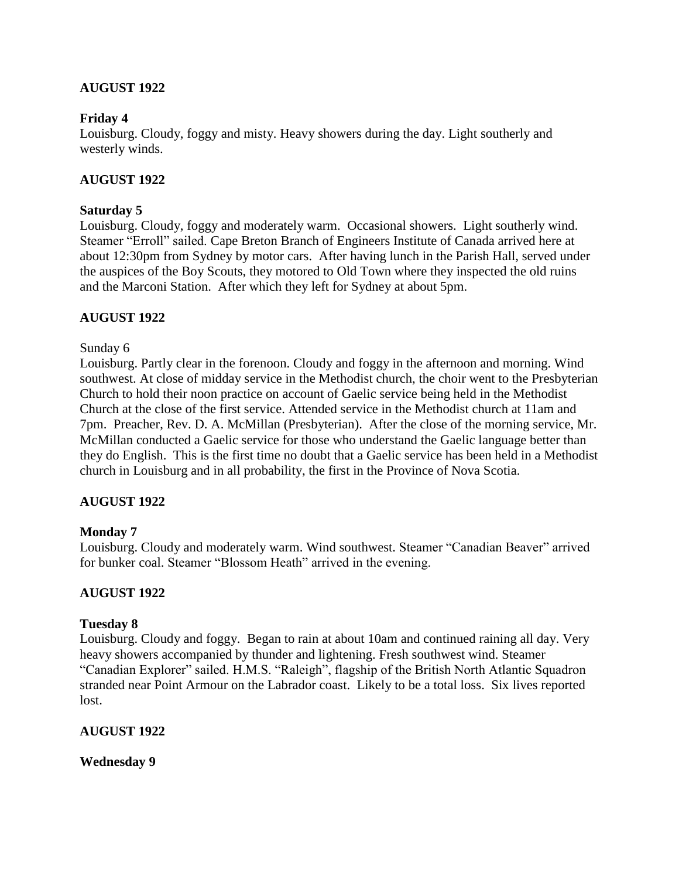# **AUGUST 1922**

### **Friday 4**

Louisburg. Cloudy, foggy and misty. Heavy showers during the day. Light southerly and westerly winds.

### **AUGUST 1922**

### **Saturday 5**

Louisburg. Cloudy, foggy and moderately warm. Occasional showers. Light southerly wind. Steamer "Erroll" sailed. Cape Breton Branch of Engineers Institute of Canada arrived here at about 12:30pm from Sydney by motor cars. After having lunch in the Parish Hall, served under the auspices of the Boy Scouts, they motored to Old Town where they inspected the old ruins and the Marconi Station. After which they left for Sydney at about 5pm.

### **AUGUST 1922**

### Sunday 6

Louisburg. Partly clear in the forenoon. Cloudy and foggy in the afternoon and morning. Wind southwest. At close of midday service in the Methodist church, the choir went to the Presbyterian Church to hold their noon practice on account of Gaelic service being held in the Methodist Church at the close of the first service. Attended service in the Methodist church at 11am and 7pm. Preacher, Rev. D. A. McMillan (Presbyterian). After the close of the morning service, Mr. McMillan conducted a Gaelic service for those who understand the Gaelic language better than they do English. This is the first time no doubt that a Gaelic service has been held in a Methodist church in Louisburg and in all probability, the first in the Province of Nova Scotia.

### **AUGUST 1922**

### **Monday 7**

Louisburg. Cloudy and moderately warm. Wind southwest. Steamer "Canadian Beaver" arrived for bunker coal. Steamer "Blossom Heath" arrived in the evening.

### **AUGUST 1922**

#### **Tuesday 8**

Louisburg. Cloudy and foggy. Began to rain at about 10am and continued raining all day. Very heavy showers accompanied by thunder and lightening. Fresh southwest wind. Steamer "Canadian Explorer" sailed. H.M.S. "Raleigh", flagship of the British North Atlantic Squadron stranded near Point Armour on the Labrador coast. Likely to be a total loss. Six lives reported lost.

### **AUGUST 1922**

**Wednesday 9**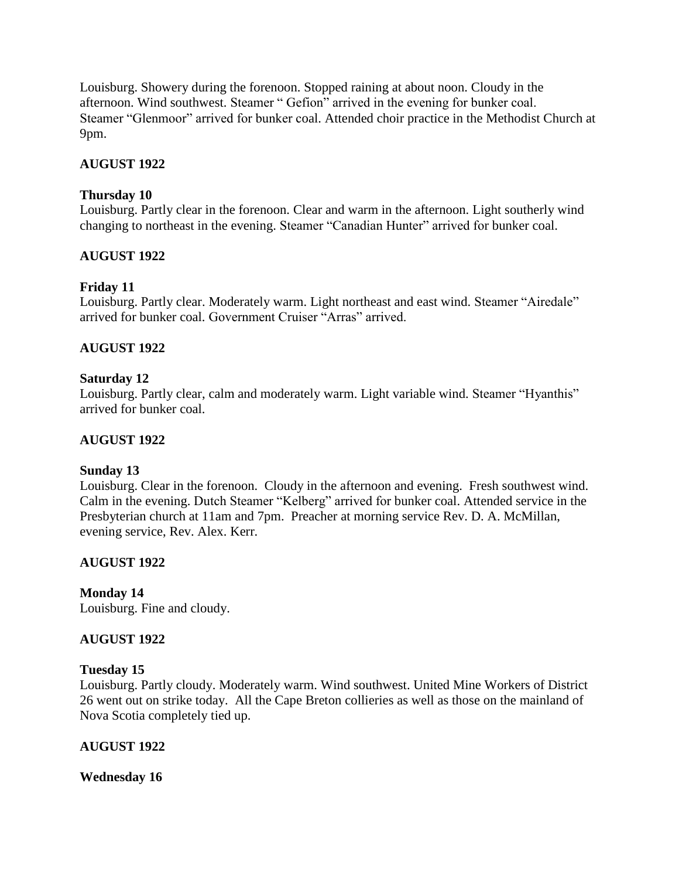Louisburg. Showery during the forenoon. Stopped raining at about noon. Cloudy in the afternoon. Wind southwest. Steamer " Gefion" arrived in the evening for bunker coal. Steamer "Glenmoor" arrived for bunker coal. Attended choir practice in the Methodist Church at 9pm.

## **AUGUST 1922**

### **Thursday 10**

Louisburg. Partly clear in the forenoon. Clear and warm in the afternoon. Light southerly wind changing to northeast in the evening. Steamer "Canadian Hunter" arrived for bunker coal.

### **AUGUST 1922**

# **Friday 11**

Louisburg. Partly clear. Moderately warm. Light northeast and east wind. Steamer "Airedale" arrived for bunker coal. Government Cruiser "Arras" arrived.

### **AUGUST 1922**

### **Saturday 12**

Louisburg. Partly clear, calm and moderately warm. Light variable wind. Steamer "Hyanthis" arrived for bunker coal.

### **AUGUST 1922**

### **Sunday 13**

Louisburg. Clear in the forenoon. Cloudy in the afternoon and evening. Fresh southwest wind. Calm in the evening. Dutch Steamer "Kelberg" arrived for bunker coal. Attended service in the Presbyterian church at 11am and 7pm. Preacher at morning service Rev. D. A. McMillan, evening service, Rev. Alex. Kerr.

# **AUGUST 1922**

# **Monday 14**

Louisburg. Fine and cloudy.

### **AUGUST 1922**

### **Tuesday 15**

Louisburg. Partly cloudy. Moderately warm. Wind southwest. United Mine Workers of District 26 went out on strike today. All the Cape Breton collieries as well as those on the mainland of Nova Scotia completely tied up.

### **AUGUST 1922**

**Wednesday 16**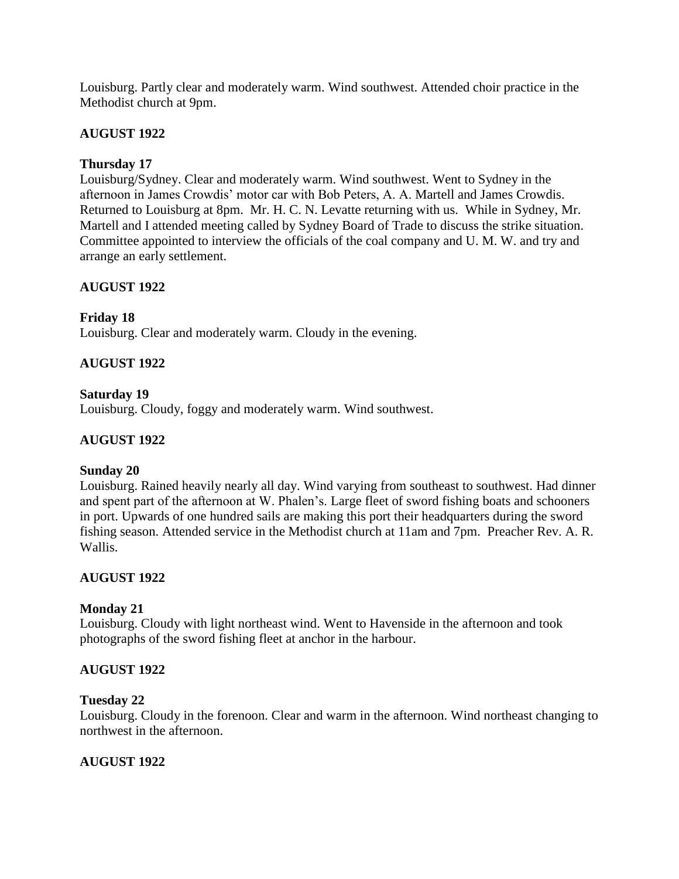Louisburg. Partly clear and moderately warm. Wind southwest. Attended choir practice in the Methodist church at 9pm.

# **AUGUST 1922**

# **Thursday 17**

Louisburg/Sydney. Clear and moderately warm. Wind southwest. Went to Sydney in the afternoon in James Crowdis' motor car with Bob Peters, A. A. Martell and James Crowdis. Returned to Louisburg at 8pm. Mr. H. C. N. Levatte returning with us. While in Sydney, Mr. Martell and I attended meeting called by Sydney Board of Trade to discuss the strike situation. Committee appointed to interview the officials of the coal company and U. M. W. and try and arrange an early settlement.

# **AUGUST 1922**

# **Friday 18**

Louisburg. Clear and moderately warm. Cloudy in the evening.

# **AUGUST 1922**

### **Saturday 19**

Louisburg. Cloudy, foggy and moderately warm. Wind southwest.

# **AUGUST 1922**

### **Sunday 20**

Louisburg. Rained heavily nearly all day. Wind varying from southeast to southwest. Had dinner and spent part of the afternoon at W. Phalen's. Large fleet of sword fishing boats and schooners in port. Upwards of one hundred sails are making this port their headquarters during the sword fishing season. Attended service in the Methodist church at 11am and 7pm. Preacher Rev. A. R. Wallis.

# **AUGUST 1922**

### **Monday 21**

Louisburg. Cloudy with light northeast wind. Went to Havenside in the afternoon and took photographs of the sword fishing fleet at anchor in the harbour.

# **AUGUST 1922**

### **Tuesday 22**

Louisburg. Cloudy in the forenoon. Clear and warm in the afternoon. Wind northeast changing to northwest in the afternoon.

# **AUGUST 1922**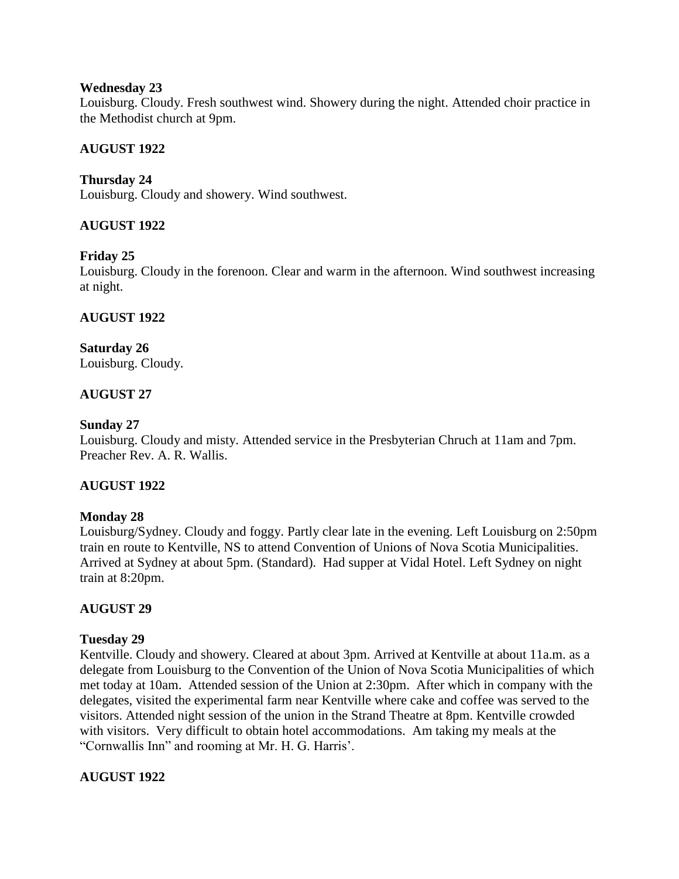### **Wednesday 23**

Louisburg. Cloudy. Fresh southwest wind. Showery during the night. Attended choir practice in the Methodist church at 9pm.

## **AUGUST 1922**

## **Thursday 24**

Louisburg. Cloudy and showery. Wind southwest.

### **AUGUST 1922**

### **Friday 25**

Louisburg. Cloudy in the forenoon. Clear and warm in the afternoon. Wind southwest increasing at night.

### **AUGUST 1922**

#### **Saturday 26** Louisburg. Cloudy.

### **AUGUST 27**

#### **Sunday 27**

Louisburg. Cloudy and misty. Attended service in the Presbyterian Chruch at 11am and 7pm. Preacher Rev. A. R. Wallis.

### **AUGUST 1922**

### **Monday 28**

Louisburg/Sydney. Cloudy and foggy. Partly clear late in the evening. Left Louisburg on 2:50pm train en route to Kentville, NS to attend Convention of Unions of Nova Scotia Municipalities. Arrived at Sydney at about 5pm. (Standard). Had supper at Vidal Hotel. Left Sydney on night train at 8:20pm.

### **AUGUST 29**

### **Tuesday 29**

Kentville. Cloudy and showery. Cleared at about 3pm. Arrived at Kentville at about 11a.m. as a delegate from Louisburg to the Convention of the Union of Nova Scotia Municipalities of which met today at 10am. Attended session of the Union at 2:30pm. After which in company with the delegates, visited the experimental farm near Kentville where cake and coffee was served to the visitors. Attended night session of the union in the Strand Theatre at 8pm. Kentville crowded with visitors. Very difficult to obtain hotel accommodations. Am taking my meals at the "Cornwallis Inn" and rooming at Mr. H. G. Harris'.

### **AUGUST 1922**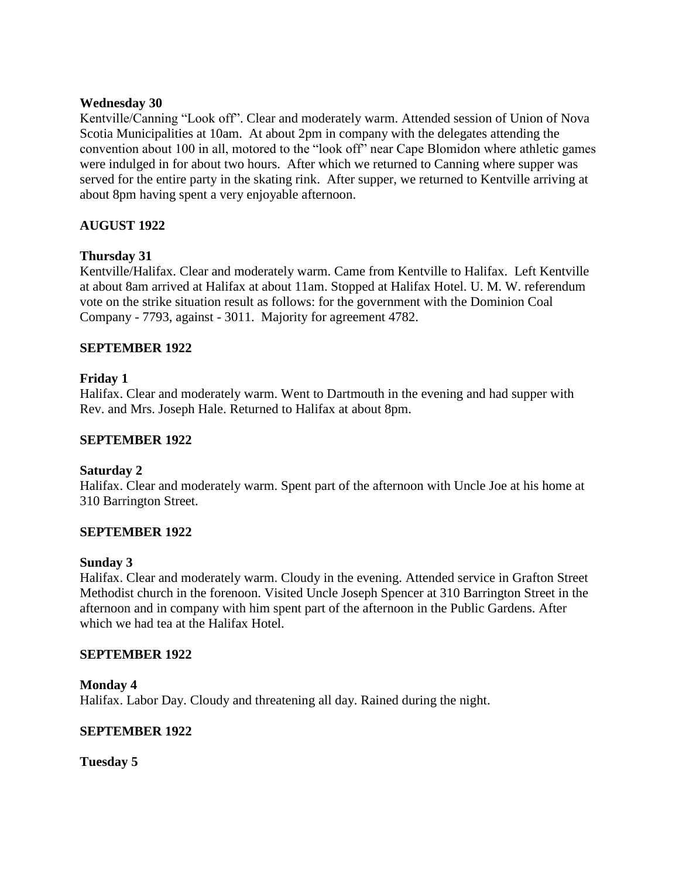### **Wednesday 30**

Kentville/Canning "Look off". Clear and moderately warm. Attended session of Union of Nova Scotia Municipalities at 10am. At about 2pm in company with the delegates attending the convention about 100 in all, motored to the "look off" near Cape Blomidon where athletic games were indulged in for about two hours. After which we returned to Canning where supper was served for the entire party in the skating rink. After supper, we returned to Kentville arriving at about 8pm having spent a very enjoyable afternoon.

### **AUGUST 1922**

### **Thursday 31**

Kentville/Halifax. Clear and moderately warm. Came from Kentville to Halifax. Left Kentville at about 8am arrived at Halifax at about 11am. Stopped at Halifax Hotel. U. M. W. referendum vote on the strike situation result as follows: for the government with the Dominion Coal Company - 7793, against - 3011. Majority for agreement 4782.

### **SEPTEMBER 1922**

### **Friday 1**

Halifax. Clear and moderately warm. Went to Dartmouth in the evening and had supper with Rev. and Mrs. Joseph Hale. Returned to Halifax at about 8pm.

### **SEPTEMBER 1922**

### **Saturday 2**

Halifax. Clear and moderately warm. Spent part of the afternoon with Uncle Joe at his home at 310 Barrington Street.

### **SEPTEMBER 1922**

#### **Sunday 3**

Halifax. Clear and moderately warm. Cloudy in the evening. Attended service in Grafton Street Methodist church in the forenoon. Visited Uncle Joseph Spencer at 310 Barrington Street in the afternoon and in company with him spent part of the afternoon in the Public Gardens. After which we had tea at the Halifax Hotel.

#### **SEPTEMBER 1922**

### **Monday 4** Halifax. Labor Day. Cloudy and threatening all day. Rained during the night.

### **SEPTEMBER 1922**

**Tuesday 5**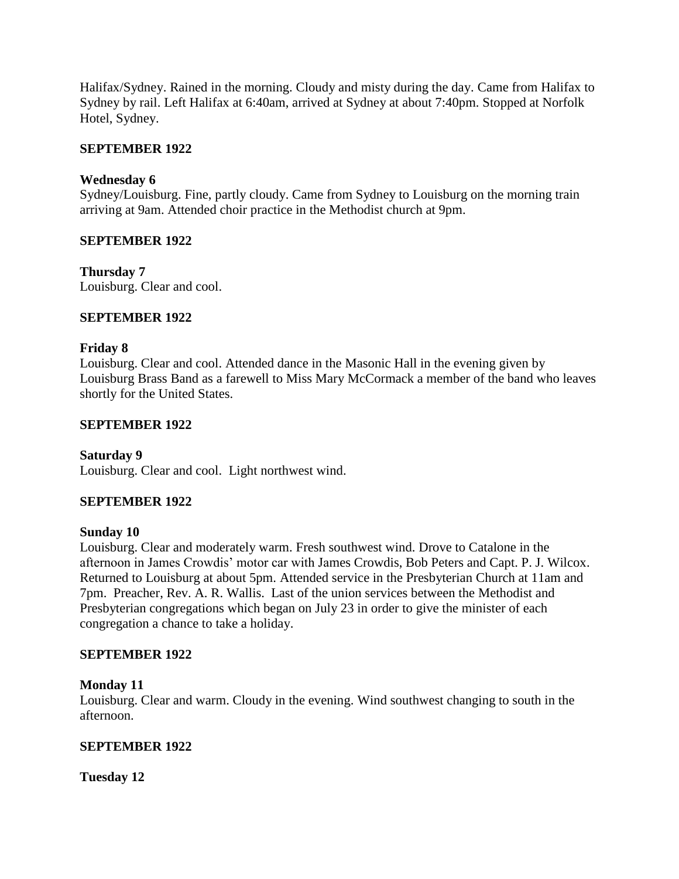Halifax/Sydney. Rained in the morning. Cloudy and misty during the day. Came from Halifax to Sydney by rail. Left Halifax at 6:40am, arrived at Sydney at about 7:40pm. Stopped at Norfolk Hotel, Sydney.

### **SEPTEMBER 1922**

### **Wednesday 6**

Sydney/Louisburg. Fine, partly cloudy. Came from Sydney to Louisburg on the morning train arriving at 9am. Attended choir practice in the Methodist church at 9pm.

### **SEPTEMBER 1922**

**Thursday 7** Louisburg. Clear and cool.

### **SEPTEMBER 1922**

### **Friday 8**

Louisburg. Clear and cool. Attended dance in the Masonic Hall in the evening given by Louisburg Brass Band as a farewell to Miss Mary McCormack a member of the band who leaves shortly for the United States.

### **SEPTEMBER 1922**

### **Saturday 9**

Louisburg. Clear and cool. Light northwest wind.

### **SEPTEMBER 1922**

### **Sunday 10**

Louisburg. Clear and moderately warm. Fresh southwest wind. Drove to Catalone in the afternoon in James Crowdis' motor car with James Crowdis, Bob Peters and Capt. P. J. Wilcox. Returned to Louisburg at about 5pm. Attended service in the Presbyterian Church at 11am and 7pm. Preacher, Rev. A. R. Wallis. Last of the union services between the Methodist and Presbyterian congregations which began on July 23 in order to give the minister of each congregation a chance to take a holiday.

### **SEPTEMBER 1922**

### **Monday 11**

Louisburg. Clear and warm. Cloudy in the evening. Wind southwest changing to south in the afternoon.

### **SEPTEMBER 1922**

**Tuesday 12**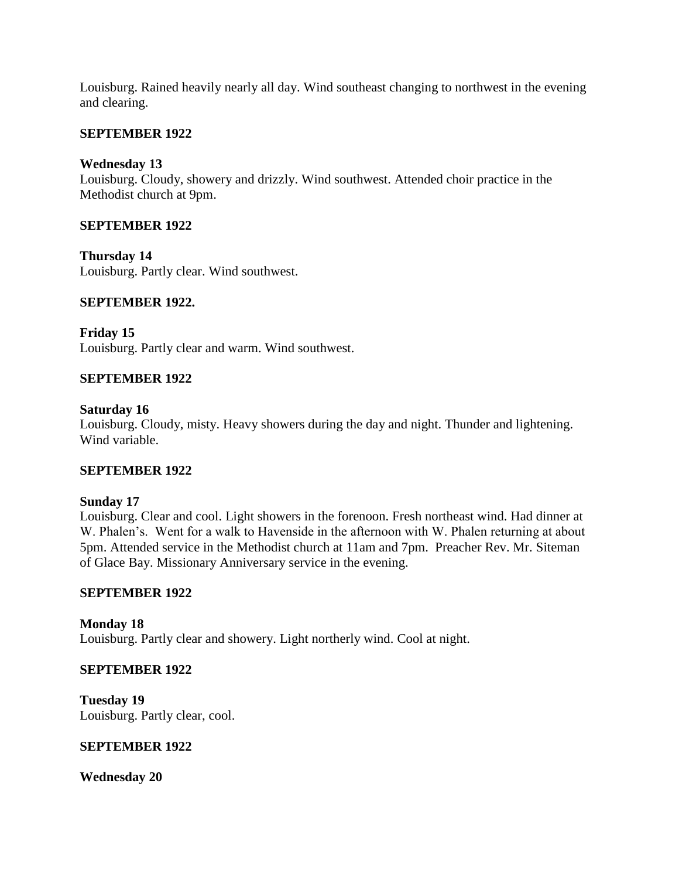Louisburg. Rained heavily nearly all day. Wind southeast changing to northwest in the evening and clearing.

### **SEPTEMBER 1922**

### **Wednesday 13**

Louisburg. Cloudy, showery and drizzly. Wind southwest. Attended choir practice in the Methodist church at 9pm.

### **SEPTEMBER 1922**

**Thursday 14** Louisburg. Partly clear. Wind southwest.

### **SEPTEMBER 1922.**

**Friday 15** Louisburg. Partly clear and warm. Wind southwest.

### **SEPTEMBER 1922**

### **Saturday 16**

Louisburg. Cloudy, misty. Heavy showers during the day and night. Thunder and lightening. Wind variable.

### **SEPTEMBER 1922**

### **Sunday 17**

Louisburg. Clear and cool. Light showers in the forenoon. Fresh northeast wind. Had dinner at W. Phalen's. Went for a walk to Havenside in the afternoon with W. Phalen returning at about 5pm. Attended service in the Methodist church at 11am and 7pm. Preacher Rev. Mr. Siteman of Glace Bay. Missionary Anniversary service in the evening.

### **SEPTEMBER 1922**

**Monday 18** Louisburg. Partly clear and showery. Light northerly wind. Cool at night.

### **SEPTEMBER 1922**

**Tuesday 19** Louisburg. Partly clear, cool.

### **SEPTEMBER 1922**

**Wednesday 20**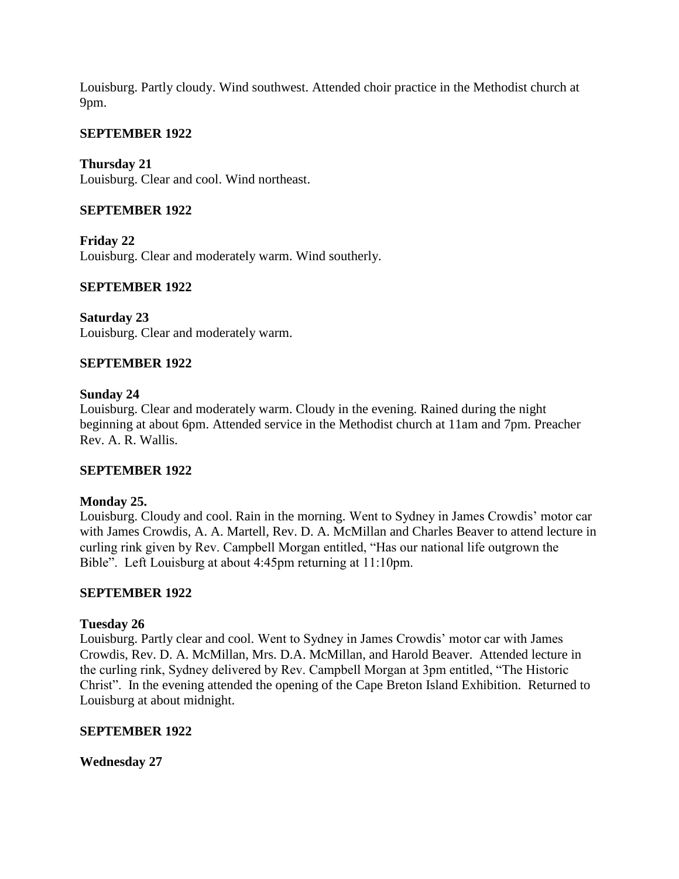Louisburg. Partly cloudy. Wind southwest. Attended choir practice in the Methodist church at 9pm.

### **SEPTEMBER 1922**

**Thursday 21** Louisburg. Clear and cool. Wind northeast.

### **SEPTEMBER 1922**

**Friday 22** Louisburg. Clear and moderately warm. Wind southerly.

### **SEPTEMBER 1922**

**Saturday 23** Louisburg. Clear and moderately warm.

### **SEPTEMBER 1922**

### **Sunday 24**

Louisburg. Clear and moderately warm. Cloudy in the evening. Rained during the night beginning at about 6pm. Attended service in the Methodist church at 11am and 7pm. Preacher Rev. A. R. Wallis.

### **SEPTEMBER 1922**

### **Monday 25.**

Louisburg. Cloudy and cool. Rain in the morning. Went to Sydney in James Crowdis' motor car with James Crowdis, A. A. Martell, Rev. D. A. McMillan and Charles Beaver to attend lecture in curling rink given by Rev. Campbell Morgan entitled, "Has our national life outgrown the Bible". Left Louisburg at about 4:45pm returning at 11:10pm.

### **SEPTEMBER 1922**

### **Tuesday 26**

Louisburg. Partly clear and cool. Went to Sydney in James Crowdis' motor car with James Crowdis, Rev. D. A. McMillan, Mrs. D.A. McMillan, and Harold Beaver. Attended lecture in the curling rink, Sydney delivered by Rev. Campbell Morgan at 3pm entitled, "The Historic Christ". In the evening attended the opening of the Cape Breton Island Exhibition. Returned to Louisburg at about midnight.

### **SEPTEMBER 1922**

**Wednesday 27**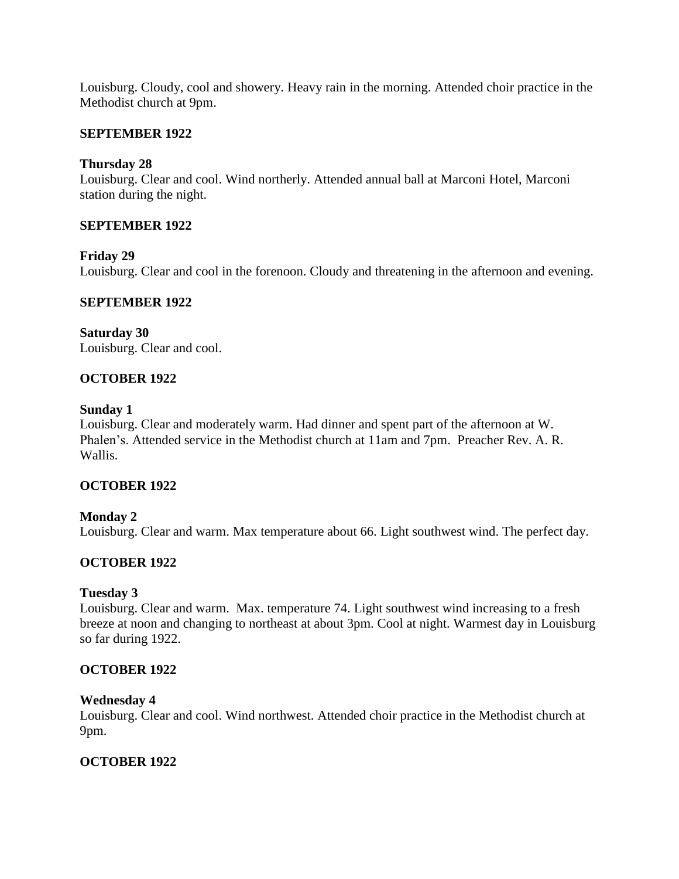Louisburg. Cloudy, cool and showery. Heavy rain in the morning. Attended choir practice in the Methodist church at 9pm.

### **SEPTEMBER 1922**

### **Thursday 28**

Louisburg. Clear and cool. Wind northerly. Attended annual ball at Marconi Hotel, Marconi station during the night.

### **SEPTEMBER 1922**

### **Friday 29**

Louisburg. Clear and cool in the forenoon. Cloudy and threatening in the afternoon and evening.

### **SEPTEMBER 1922**

**Saturday 30** Louisburg. Clear and cool.

### **OCTOBER 1922**

### **Sunday 1**

Louisburg. Clear and moderately warm. Had dinner and spent part of the afternoon at W. Phalen's. Attended service in the Methodist church at 11am and 7pm. Preacher Rev. A. R. Wallis.

### **OCTOBER 1922**

### **Monday 2**

Louisburg. Clear and warm. Max temperature about 66. Light southwest wind. The perfect day.

# **OCTOBER 1922**

### **Tuesday 3**

Louisburg. Clear and warm. Max. temperature 74. Light southwest wind increasing to a fresh breeze at noon and changing to northeast at about 3pm. Cool at night. Warmest day in Louisburg so far during 1922.

### **OCTOBER 1922**

#### **Wednesday 4**

Louisburg. Clear and cool. Wind northwest. Attended choir practice in the Methodist church at 9pm.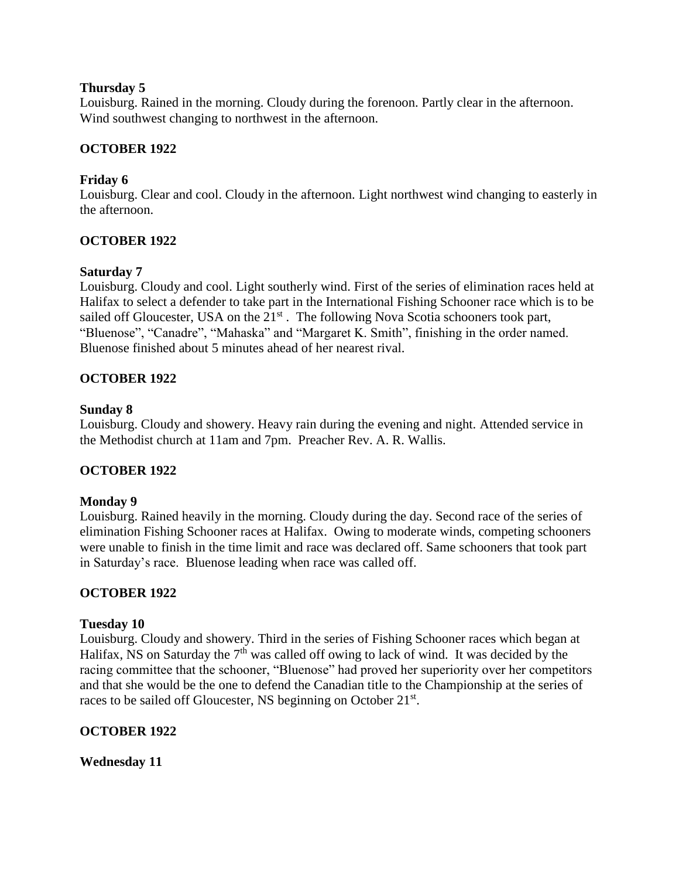### **Thursday 5**

Louisburg. Rained in the morning. Cloudy during the forenoon. Partly clear in the afternoon. Wind southwest changing to northwest in the afternoon.

## **OCTOBER 1922**

### **Friday 6**

Louisburg. Clear and cool. Cloudy in the afternoon. Light northwest wind changing to easterly in the afternoon.

### **OCTOBER 1922**

### **Saturday 7**

Louisburg. Cloudy and cool. Light southerly wind. First of the series of elimination races held at Halifax to select a defender to take part in the International Fishing Schooner race which is to be sailed off Gloucester, USA on the  $21<sup>st</sup>$ . The following Nova Scotia schooners took part, "Bluenose", "Canadre", "Mahaska" and "Margaret K. Smith", finishing in the order named. Bluenose finished about 5 minutes ahead of her nearest rival.

### **OCTOBER 1922**

### **Sunday 8**

Louisburg. Cloudy and showery. Heavy rain during the evening and night. Attended service in the Methodist church at 11am and 7pm. Preacher Rev. A. R. Wallis.

### **OCTOBER 1922**

### **Monday 9**

Louisburg. Rained heavily in the morning. Cloudy during the day. Second race of the series of elimination Fishing Schooner races at Halifax. Owing to moderate winds, competing schooners were unable to finish in the time limit and race was declared off. Same schooners that took part in Saturday's race. Bluenose leading when race was called off.

### **OCTOBER 1922**

### **Tuesday 10**

Louisburg. Cloudy and showery. Third in the series of Fishing Schooner races which began at Halifax, NS on Saturday the 7<sup>th</sup> was called off owing to lack of wind. It was decided by the racing committee that the schooner, "Bluenose" had proved her superiority over her competitors and that she would be the one to defend the Canadian title to the Championship at the series of races to be sailed off Gloucester, NS beginning on October 21st.

### **OCTOBER 1922**

**Wednesday 11**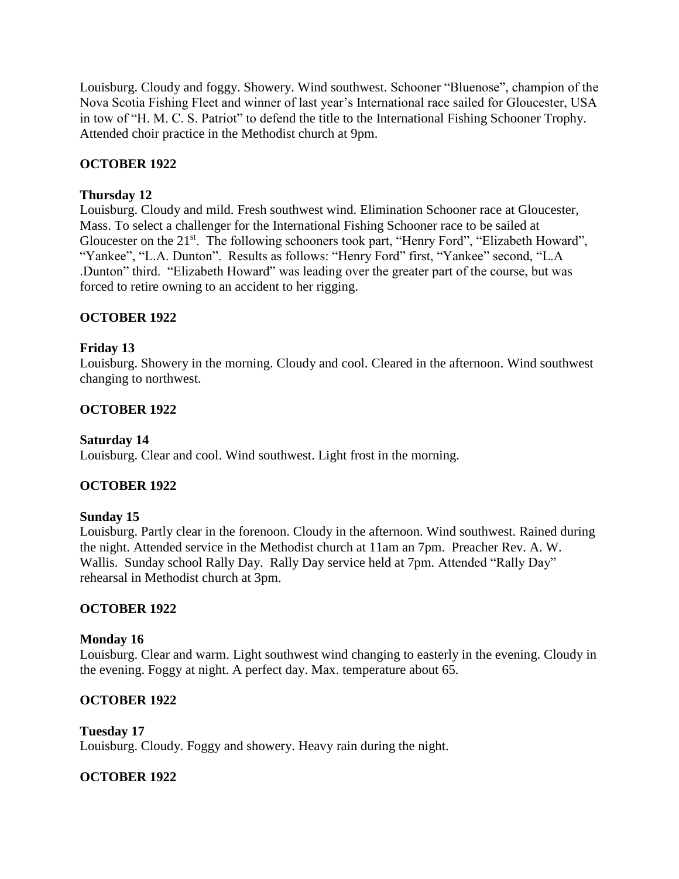Louisburg. Cloudy and foggy. Showery. Wind southwest. Schooner "Bluenose", champion of the Nova Scotia Fishing Fleet and winner of last year's International race sailed for Gloucester, USA in tow of "H. M. C. S. Patriot" to defend the title to the International Fishing Schooner Trophy. Attended choir practice in the Methodist church at 9pm.

# **OCTOBER 1922**

# **Thursday 12**

Louisburg. Cloudy and mild. Fresh southwest wind. Elimination Schooner race at Gloucester, Mass. To select a challenger for the International Fishing Schooner race to be sailed at Gloucester on the 21<sup>st</sup>. The following schooners took part, "Henry Ford", "Elizabeth Howard", "Yankee", "L.A. Dunton". Results as follows: "Henry Ford" first, "Yankee" second, "L.A .Dunton" third. "Elizabeth Howard" was leading over the greater part of the course, but was forced to retire owning to an accident to her rigging.

# **OCTOBER 1922**

# **Friday 13**

Louisburg. Showery in the morning. Cloudy and cool. Cleared in the afternoon. Wind southwest changing to northwest.

# **OCTOBER 1922**

### **Saturday 14**

Louisburg. Clear and cool. Wind southwest. Light frost in the morning.

# **OCTOBER 1922**

# **Sunday 15**

Louisburg. Partly clear in the forenoon. Cloudy in the afternoon. Wind southwest. Rained during the night. Attended service in the Methodist church at 11am an 7pm. Preacher Rev. A. W. Wallis. Sunday school Rally Day. Rally Day service held at 7pm. Attended "Rally Day" rehearsal in Methodist church at 3pm.

# **OCTOBER 1922**

# **Monday 16**

Louisburg. Clear and warm. Light southwest wind changing to easterly in the evening. Cloudy in the evening. Foggy at night. A perfect day. Max. temperature about 65.

# **OCTOBER 1922**

**Tuesday 17** Louisburg. Cloudy. Foggy and showery. Heavy rain during the night.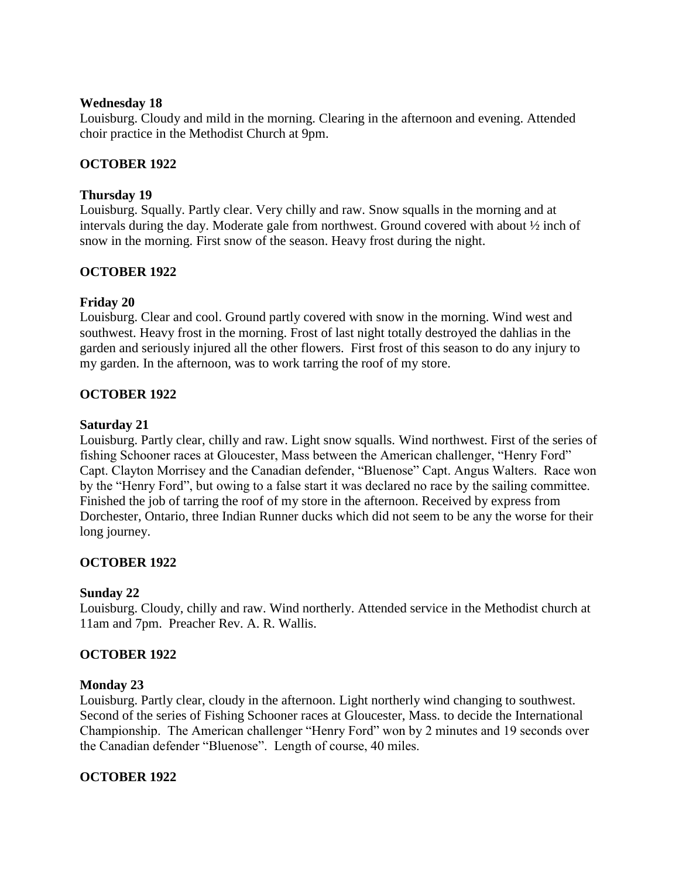#### **Wednesday 18**

Louisburg. Cloudy and mild in the morning. Clearing in the afternoon and evening. Attended choir practice in the Methodist Church at 9pm.

### **OCTOBER 1922**

### **Thursday 19**

Louisburg. Squally. Partly clear. Very chilly and raw. Snow squalls in the morning and at intervals during the day. Moderate gale from northwest. Ground covered with about ½ inch of snow in the morning. First snow of the season. Heavy frost during the night.

### **OCTOBER 1922**

### **Friday 20**

Louisburg. Clear and cool. Ground partly covered with snow in the morning. Wind west and southwest. Heavy frost in the morning. Frost of last night totally destroyed the dahlias in the garden and seriously injured all the other flowers. First frost of this season to do any injury to my garden. In the afternoon, was to work tarring the roof of my store.

### **OCTOBER 1922**

### **Saturday 21**

Louisburg. Partly clear, chilly and raw. Light snow squalls. Wind northwest. First of the series of fishing Schooner races at Gloucester, Mass between the American challenger, "Henry Ford" Capt. Clayton Morrisey and the Canadian defender, "Bluenose" Capt. Angus Walters. Race won by the "Henry Ford", but owing to a false start it was declared no race by the sailing committee. Finished the job of tarring the roof of my store in the afternoon. Received by express from Dorchester, Ontario, three Indian Runner ducks which did not seem to be any the worse for their long journey.

### **OCTOBER 1922**

### **Sunday 22**

Louisburg. Cloudy, chilly and raw. Wind northerly. Attended service in the Methodist church at 11am and 7pm. Preacher Rev. A. R. Wallis.

### **OCTOBER 1922**

### **Monday 23**

Louisburg. Partly clear, cloudy in the afternoon. Light northerly wind changing to southwest. Second of the series of Fishing Schooner races at Gloucester, Mass. to decide the International Championship. The American challenger "Henry Ford" won by 2 minutes and 19 seconds over the Canadian defender "Bluenose". Length of course, 40 miles.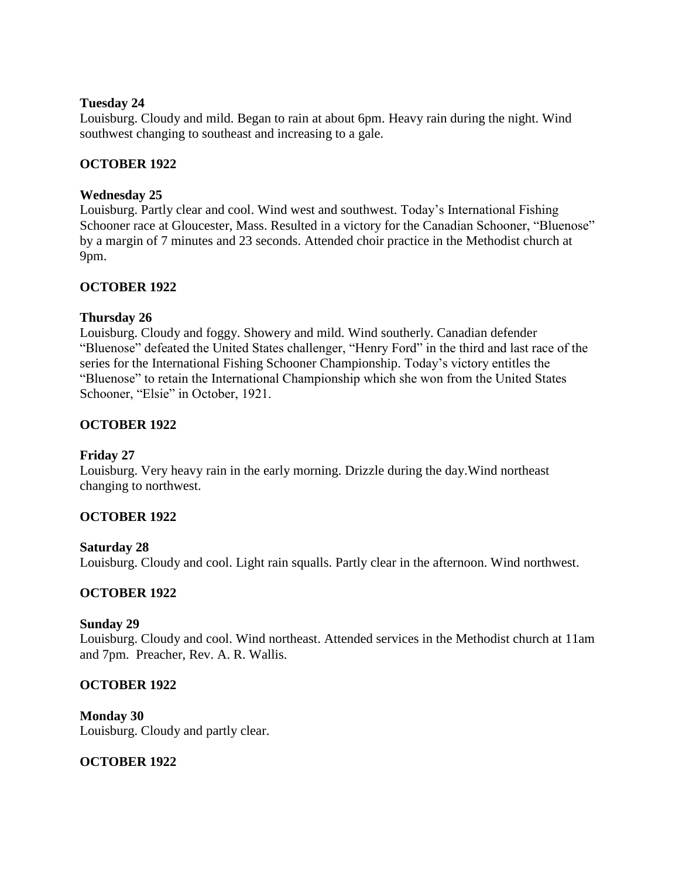### **Tuesday 24**

Louisburg. Cloudy and mild. Began to rain at about 6pm. Heavy rain during the night. Wind southwest changing to southeast and increasing to a gale.

## **OCTOBER 1922**

### **Wednesday 25**

Louisburg. Partly clear and cool. Wind west and southwest. Today's International Fishing Schooner race at Gloucester, Mass. Resulted in a victory for the Canadian Schooner, "Bluenose" by a margin of 7 minutes and 23 seconds. Attended choir practice in the Methodist church at 9pm.

### **OCTOBER 1922**

### **Thursday 26**

Louisburg. Cloudy and foggy. Showery and mild. Wind southerly. Canadian defender "Bluenose" defeated the United States challenger, "Henry Ford" in the third and last race of the series for the International Fishing Schooner Championship. Today's victory entitles the "Bluenose" to retain the International Championship which she won from the United States Schooner, "Elsie" in October, 1921.

### **OCTOBER 1922**

### **Friday 27**

Louisburg. Very heavy rain in the early morning. Drizzle during the day.Wind northeast changing to northwest.

# **OCTOBER 1922**

### **Saturday 28**

Louisburg. Cloudy and cool. Light rain squalls. Partly clear in the afternoon. Wind northwest.

### **OCTOBER 1922**

### **Sunday 29**

Louisburg. Cloudy and cool. Wind northeast. Attended services in the Methodist church at 11am and 7pm. Preacher, Rev. A. R. Wallis.

### **OCTOBER 1922**

**Monday 30** Louisburg. Cloudy and partly clear.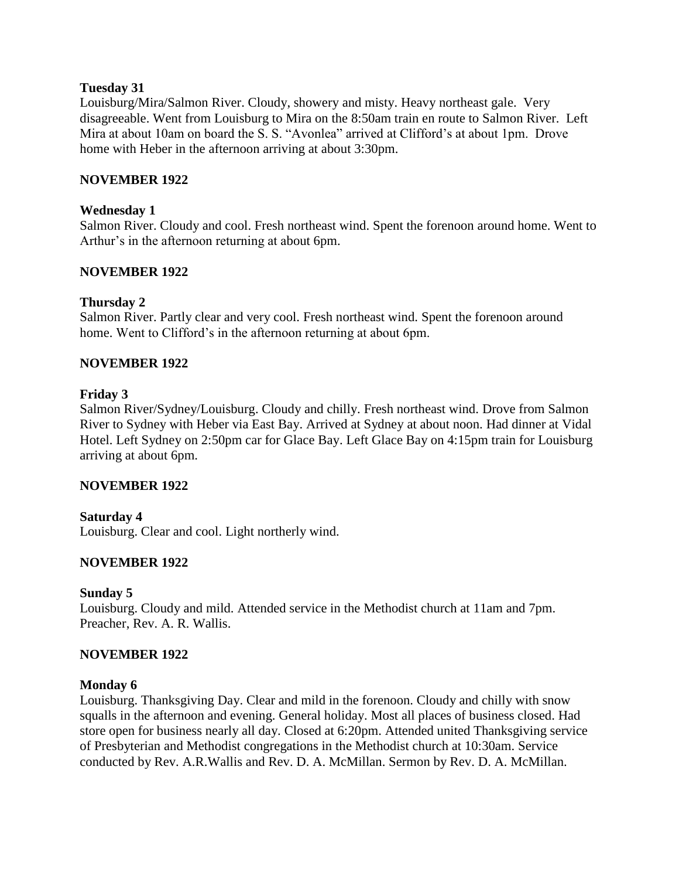#### **Tuesday 31**

Louisburg/Mira/Salmon River. Cloudy, showery and misty. Heavy northeast gale. Very disagreeable. Went from Louisburg to Mira on the 8:50am train en route to Salmon River. Left Mira at about 10am on board the S. S. "Avonlea" arrived at Clifford's at about 1pm. Drove home with Heber in the afternoon arriving at about 3:30pm.

#### **NOVEMBER 1922**

#### **Wednesday 1**

Salmon River. Cloudy and cool. Fresh northeast wind. Spent the forenoon around home. Went to Arthur's in the afternoon returning at about 6pm.

#### **NOVEMBER 1922**

#### **Thursday 2**

Salmon River. Partly clear and very cool. Fresh northeast wind. Spent the forenoon around home. Went to Clifford's in the afternoon returning at about 6pm.

#### **NOVEMBER 1922**

#### **Friday 3**

Salmon River/Sydney/Louisburg. Cloudy and chilly. Fresh northeast wind. Drove from Salmon River to Sydney with Heber via East Bay. Arrived at Sydney at about noon. Had dinner at Vidal Hotel. Left Sydney on 2:50pm car for Glace Bay. Left Glace Bay on 4:15pm train for Louisburg arriving at about 6pm.

### **NOVEMBER 1922**

#### **Saturday 4**

Louisburg. Clear and cool. Light northerly wind.

### **NOVEMBER 1922**

#### **Sunday 5**

Louisburg. Cloudy and mild. Attended service in the Methodist church at 11am and 7pm. Preacher, Rev. A. R. Wallis.

#### **NOVEMBER 1922**

#### **Monday 6**

Louisburg. Thanksgiving Day. Clear and mild in the forenoon. Cloudy and chilly with snow squalls in the afternoon and evening. General holiday. Most all places of business closed. Had store open for business nearly all day. Closed at 6:20pm. Attended united Thanksgiving service of Presbyterian and Methodist congregations in the Methodist church at 10:30am. Service conducted by Rev. A.R.Wallis and Rev. D. A. McMillan. Sermon by Rev. D. A. McMillan.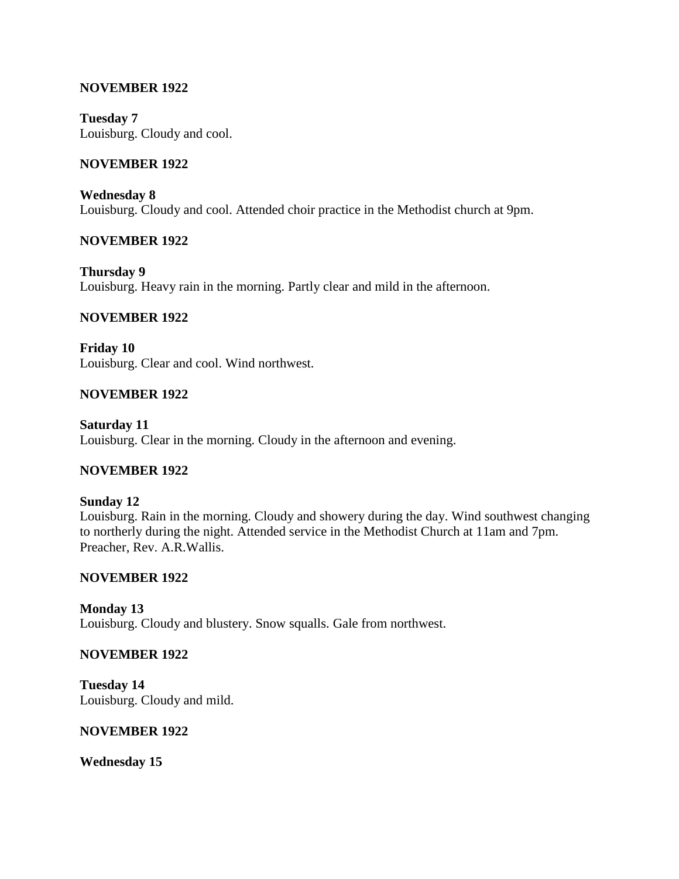### **NOVEMBER 1922**

**Tuesday 7** Louisburg. Cloudy and cool.

### **NOVEMBER 1922**

**Wednesday 8** Louisburg. Cloudy and cool. Attended choir practice in the Methodist church at 9pm.

#### **NOVEMBER 1922**

**Thursday 9** Louisburg. Heavy rain in the morning. Partly clear and mild in the afternoon.

#### **NOVEMBER 1922**

**Friday 10** Louisburg. Clear and cool. Wind northwest.

#### **NOVEMBER 1922**

**Saturday 11** Louisburg. Clear in the morning. Cloudy in the afternoon and evening.

#### **NOVEMBER 1922**

**Sunday 12** Louisburg. Rain in the morning. Cloudy and showery during the day. Wind southwest changing to northerly during the night. Attended service in the Methodist Church at 11am and 7pm. Preacher, Rev. A.R.Wallis.

#### **NOVEMBER 1922**

**Monday 13** Louisburg. Cloudy and blustery. Snow squalls. Gale from northwest.

#### **NOVEMBER 1922**

**Tuesday 14** Louisburg. Cloudy and mild.

#### **NOVEMBER 1922**

**Wednesday 15**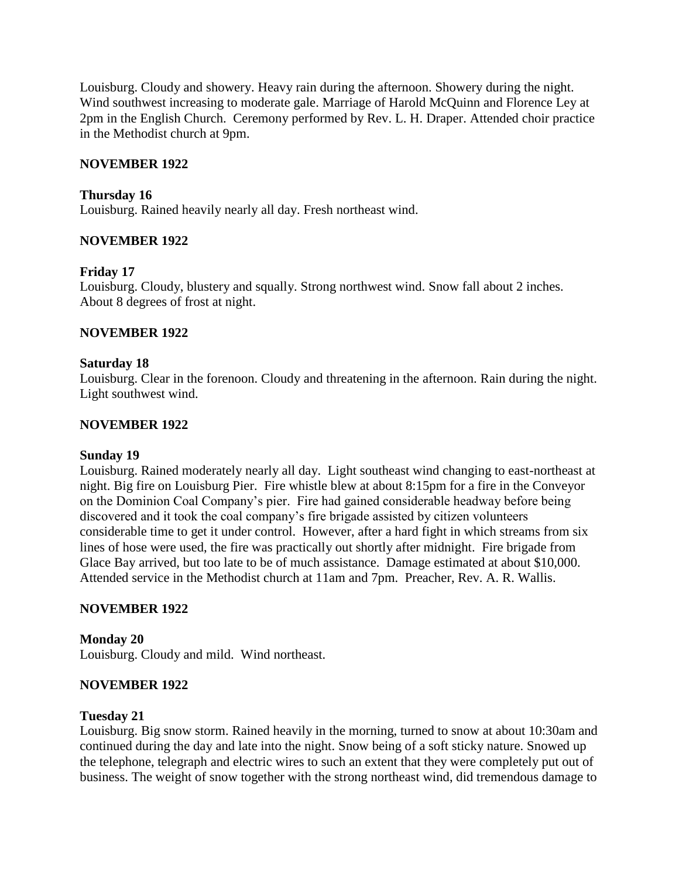Louisburg. Cloudy and showery. Heavy rain during the afternoon. Showery during the night. Wind southwest increasing to moderate gale. Marriage of Harold McQuinn and Florence Ley at 2pm in the English Church. Ceremony performed by Rev. L. H. Draper. Attended choir practice in the Methodist church at 9pm.

### **NOVEMBER 1922**

### **Thursday 16**

Louisburg. Rained heavily nearly all day. Fresh northeast wind.

### **NOVEMBER 1922**

### **Friday 17**

Louisburg. Cloudy, blustery and squally. Strong northwest wind. Snow fall about 2 inches. About 8 degrees of frost at night.

### **NOVEMBER 1922**

### **Saturday 18**

Louisburg. Clear in the forenoon. Cloudy and threatening in the afternoon. Rain during the night. Light southwest wind.

### **NOVEMBER 1922**

### **Sunday 19**

Louisburg. Rained moderately nearly all day. Light southeast wind changing to east-northeast at night. Big fire on Louisburg Pier. Fire whistle blew at about 8:15pm for a fire in the Conveyor on the Dominion Coal Company's pier. Fire had gained considerable headway before being discovered and it took the coal company's fire brigade assisted by citizen volunteers considerable time to get it under control. However, after a hard fight in which streams from six lines of hose were used, the fire was practically out shortly after midnight. Fire brigade from Glace Bay arrived, but too late to be of much assistance. Damage estimated at about \$10,000. Attended service in the Methodist church at 11am and 7pm. Preacher, Rev. A. R. Wallis.

### **NOVEMBER 1922**

**Monday 20** Louisburg. Cloudy and mild. Wind northeast.

### **NOVEMBER 1922**

#### **Tuesday 21**

Louisburg. Big snow storm. Rained heavily in the morning, turned to snow at about 10:30am and continued during the day and late into the night. Snow being of a soft sticky nature. Snowed up the telephone, telegraph and electric wires to such an extent that they were completely put out of business. The weight of snow together with the strong northeast wind, did tremendous damage to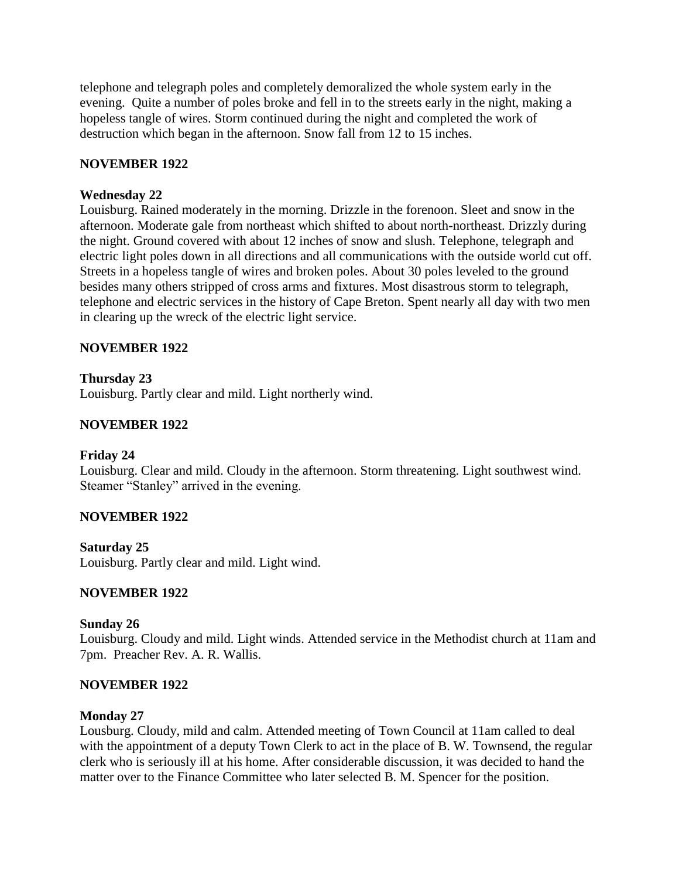telephone and telegraph poles and completely demoralized the whole system early in the evening. Quite a number of poles broke and fell in to the streets early in the night, making a hopeless tangle of wires. Storm continued during the night and completed the work of destruction which began in the afternoon. Snow fall from 12 to 15 inches.

## **NOVEMBER 1922**

### **Wednesday 22**

Louisburg. Rained moderately in the morning. Drizzle in the forenoon. Sleet and snow in the afternoon. Moderate gale from northeast which shifted to about north-northeast. Drizzly during the night. Ground covered with about 12 inches of snow and slush. Telephone, telegraph and electric light poles down in all directions and all communications with the outside world cut off. Streets in a hopeless tangle of wires and broken poles. About 30 poles leveled to the ground besides many others stripped of cross arms and fixtures. Most disastrous storm to telegraph, telephone and electric services in the history of Cape Breton. Spent nearly all day with two men in clearing up the wreck of the electric light service.

### **NOVEMBER 1922**

**Thursday 23** Louisburg. Partly clear and mild. Light northerly wind.

### **NOVEMBER 1922**

### **Friday 24**

Louisburg. Clear and mild. Cloudy in the afternoon. Storm threatening. Light southwest wind. Steamer "Stanley" arrived in the evening.

### **NOVEMBER 1922**

### **Saturday 25**

Louisburg. Partly clear and mild. Light wind.

### **NOVEMBER 1922**

#### **Sunday 26**

Louisburg. Cloudy and mild. Light winds. Attended service in the Methodist church at 11am and 7pm. Preacher Rev. A. R. Wallis.

### **NOVEMBER 1922**

#### **Monday 27**

Lousburg. Cloudy, mild and calm. Attended meeting of Town Council at 11am called to deal with the appointment of a deputy Town Clerk to act in the place of B. W. Townsend, the regular clerk who is seriously ill at his home. After considerable discussion, it was decided to hand the matter over to the Finance Committee who later selected B. M. Spencer for the position.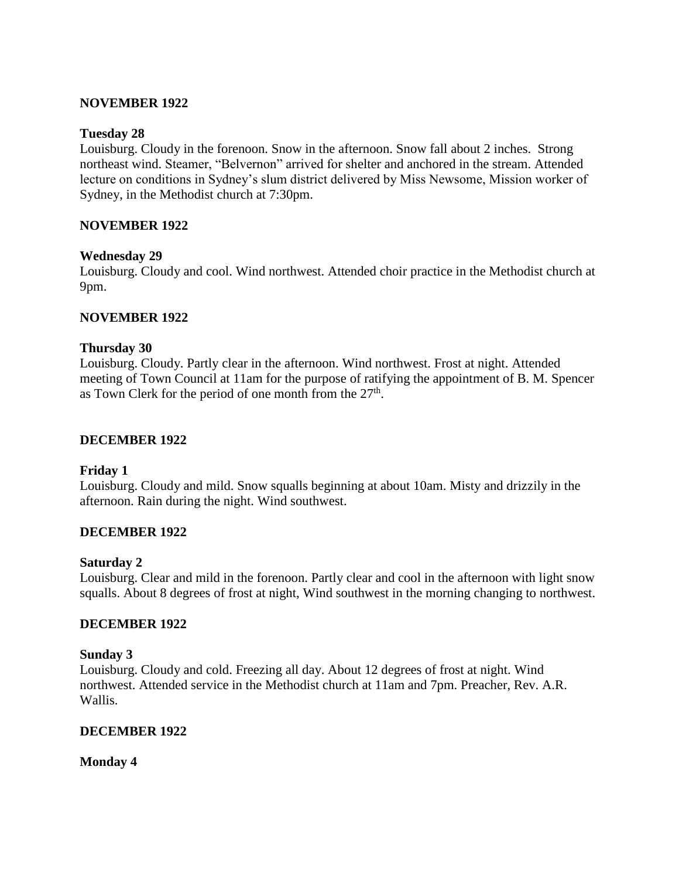### **NOVEMBER 1922**

### **Tuesday 28**

Louisburg. Cloudy in the forenoon. Snow in the afternoon. Snow fall about 2 inches. Strong northeast wind. Steamer, "Belvernon" arrived for shelter and anchored in the stream. Attended lecture on conditions in Sydney's slum district delivered by Miss Newsome, Mission worker of Sydney, in the Methodist church at 7:30pm.

### **NOVEMBER 1922**

### **Wednesday 29**

Louisburg. Cloudy and cool. Wind northwest. Attended choir practice in the Methodist church at 9pm.

### **NOVEMBER 1922**

### **Thursday 30**

Louisburg. Cloudy. Partly clear in the afternoon. Wind northwest. Frost at night. Attended meeting of Town Council at 11am for the purpose of ratifying the appointment of B. M. Spencer as Town Clerk for the period of one month from the  $27<sup>th</sup>$ .

### **DECEMBER 1922**

### **Friday 1**

Louisburg. Cloudy and mild. Snow squalls beginning at about 10am. Misty and drizzily in the afternoon. Rain during the night. Wind southwest.

### **DECEMBER 1922**

### **Saturday 2**

Louisburg. Clear and mild in the forenoon. Partly clear and cool in the afternoon with light snow squalls. About 8 degrees of frost at night, Wind southwest in the morning changing to northwest.

### **DECEMBER 1922**

### **Sunday 3**

Louisburg. Cloudy and cold. Freezing all day. About 12 degrees of frost at night. Wind northwest. Attended service in the Methodist church at 11am and 7pm. Preacher, Rev. A.R. Wallis.

### **DECEMBER 1922**

**Monday 4**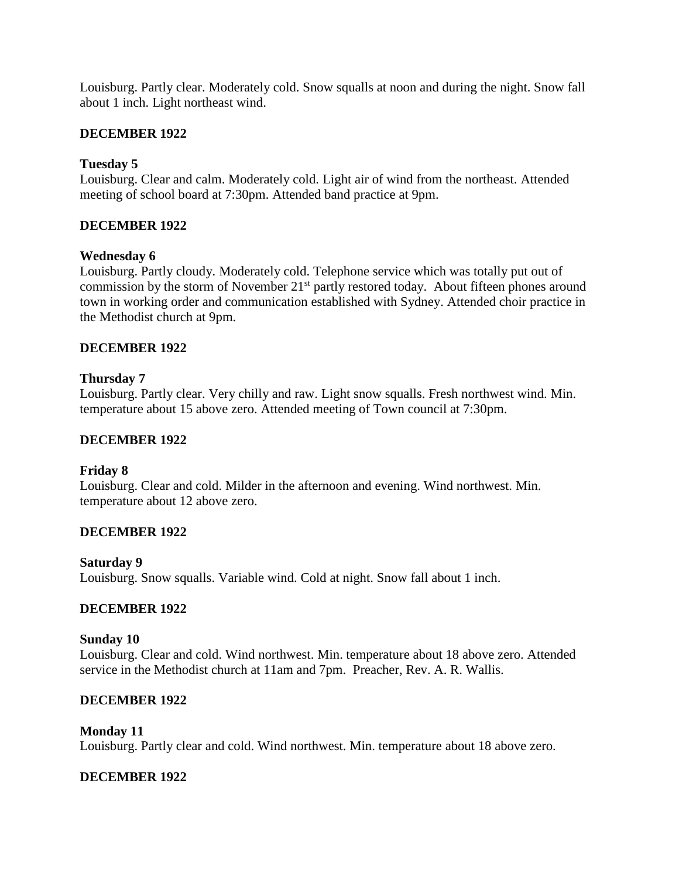Louisburg. Partly clear. Moderately cold. Snow squalls at noon and during the night. Snow fall about 1 inch. Light northeast wind.

### **DECEMBER 1922**

### **Tuesday 5**

Louisburg. Clear and calm. Moderately cold. Light air of wind from the northeast. Attended meeting of school board at 7:30pm. Attended band practice at 9pm.

## **DECEMBER 1922**

### **Wednesday 6**

Louisburg. Partly cloudy. Moderately cold. Telephone service which was totally put out of commission by the storm of November 21<sup>st</sup> partly restored today. About fifteen phones around town in working order and communication established with Sydney. Attended choir practice in the Methodist church at 9pm.

### **DECEMBER 1922**

### **Thursday 7**

Louisburg. Partly clear. Very chilly and raw. Light snow squalls. Fresh northwest wind. Min. temperature about 15 above zero. Attended meeting of Town council at 7:30pm.

### **DECEMBER 1922**

### **Friday 8**

Louisburg. Clear and cold. Milder in the afternoon and evening. Wind northwest. Min. temperature about 12 above zero.

### **DECEMBER 1922**

### **Saturday 9**

Louisburg. Snow squalls. Variable wind. Cold at night. Snow fall about 1 inch.

### **DECEMBER 1922**

### **Sunday 10**

Louisburg. Clear and cold. Wind northwest. Min. temperature about 18 above zero. Attended service in the Methodist church at 11am and 7pm. Preacher, Rev. A. R. Wallis.

### **DECEMBER 1922**

#### **Monday 11** Louisburg. Partly clear and cold. Wind northwest. Min. temperature about 18 above zero.

# **DECEMBER 1922**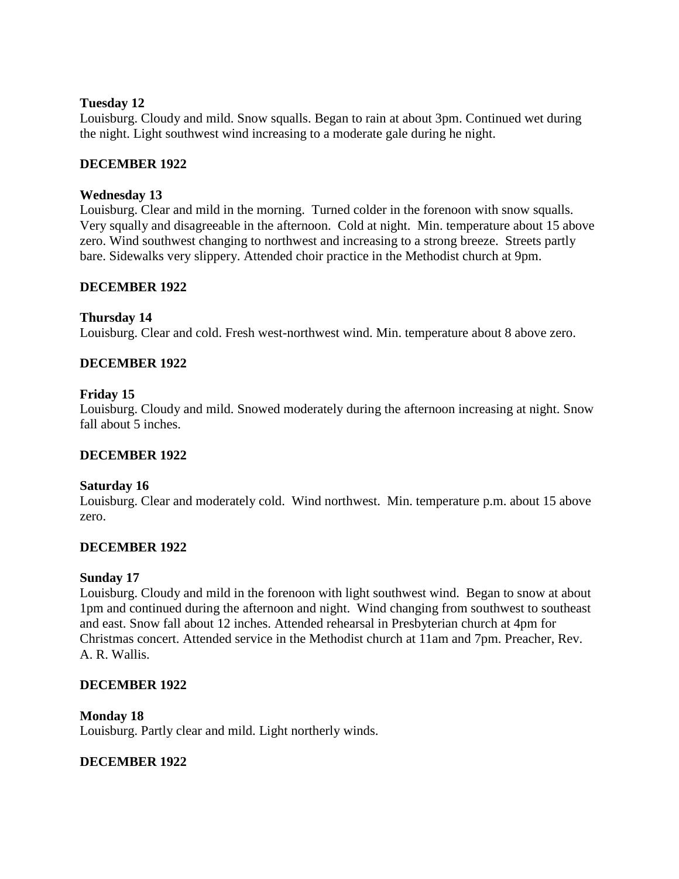### **Tuesday 12**

Louisburg. Cloudy and mild. Snow squalls. Began to rain at about 3pm. Continued wet during the night. Light southwest wind increasing to a moderate gale during he night.

### **DECEMBER 1922**

### **Wednesday 13**

Louisburg. Clear and mild in the morning. Turned colder in the forenoon with snow squalls. Very squally and disagreeable in the afternoon. Cold at night. Min. temperature about 15 above zero. Wind southwest changing to northwest and increasing to a strong breeze. Streets partly bare. Sidewalks very slippery. Attended choir practice in the Methodist church at 9pm.

### **DECEMBER 1922**

### **Thursday 14**

Louisburg. Clear and cold. Fresh west-northwest wind. Min. temperature about 8 above zero.

### **DECEMBER 1922**

### **Friday 15**

Louisburg. Cloudy and mild. Snowed moderately during the afternoon increasing at night. Snow fall about 5 inches.

### **DECEMBER 1922**

### **Saturday 16**

Louisburg. Clear and moderately cold. Wind northwest. Min. temperature p.m. about 15 above zero.

### **DECEMBER 1922**

#### **Sunday 17**

Louisburg. Cloudy and mild in the forenoon with light southwest wind. Began to snow at about 1pm and continued during the afternoon and night. Wind changing from southwest to southeast and east. Snow fall about 12 inches. Attended rehearsal in Presbyterian church at 4pm for Christmas concert. Attended service in the Methodist church at 11am and 7pm. Preacher, Rev. A. R. Wallis.

### **DECEMBER 1922**

#### **Monday 18**

Louisburg. Partly clear and mild. Light northerly winds.

### **DECEMBER 1922**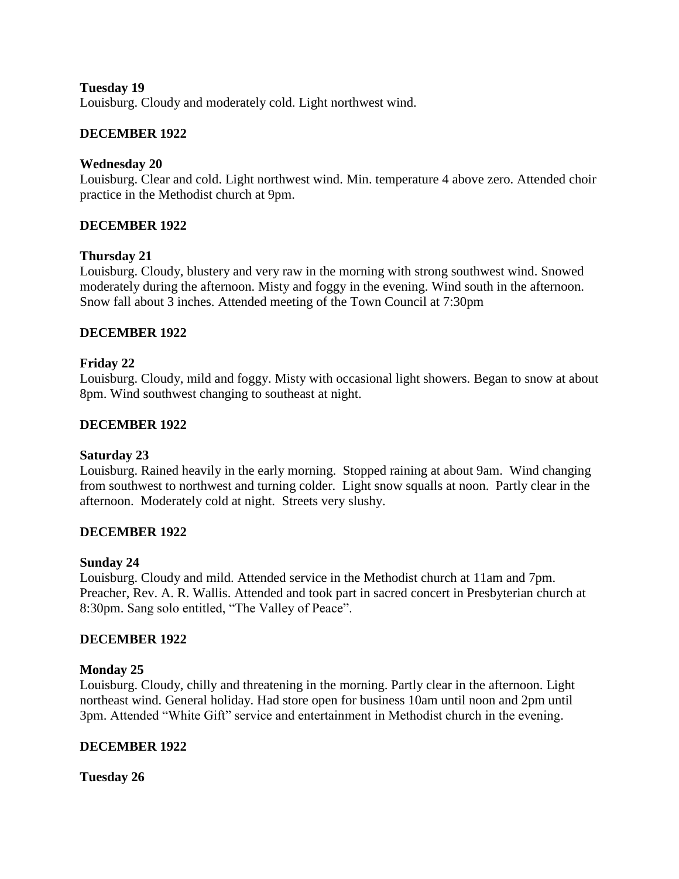### **Tuesday 19**

Louisburg. Cloudy and moderately cold. Light northwest wind.

## **DECEMBER 1922**

### **Wednesday 20**

Louisburg. Clear and cold. Light northwest wind. Min. temperature 4 above zero. Attended choir practice in the Methodist church at 9pm.

### **DECEMBER 1922**

### **Thursday 21**

Louisburg. Cloudy, blustery and very raw in the morning with strong southwest wind. Snowed moderately during the afternoon. Misty and foggy in the evening. Wind south in the afternoon. Snow fall about 3 inches. Attended meeting of the Town Council at 7:30pm

### **DECEMBER 1922**

### **Friday 22**

Louisburg. Cloudy, mild and foggy. Misty with occasional light showers. Began to snow at about 8pm. Wind southwest changing to southeast at night.

### **DECEMBER 1922**

### **Saturday 23**

Louisburg. Rained heavily in the early morning. Stopped raining at about 9am. Wind changing from southwest to northwest and turning colder. Light snow squalls at noon. Partly clear in the afternoon. Moderately cold at night. Streets very slushy.

### **DECEMBER 1922**

### **Sunday 24**

Louisburg. Cloudy and mild. Attended service in the Methodist church at 11am and 7pm. Preacher, Rev. A. R. Wallis. Attended and took part in sacred concert in Presbyterian church at 8:30pm. Sang solo entitled, "The Valley of Peace".

### **DECEMBER 1922**

### **Monday 25**

Louisburg. Cloudy, chilly and threatening in the morning. Partly clear in the afternoon. Light northeast wind. General holiday. Had store open for business 10am until noon and 2pm until 3pm. Attended "White Gift" service and entertainment in Methodist church in the evening.

### **DECEMBER 1922**

**Tuesday 26**